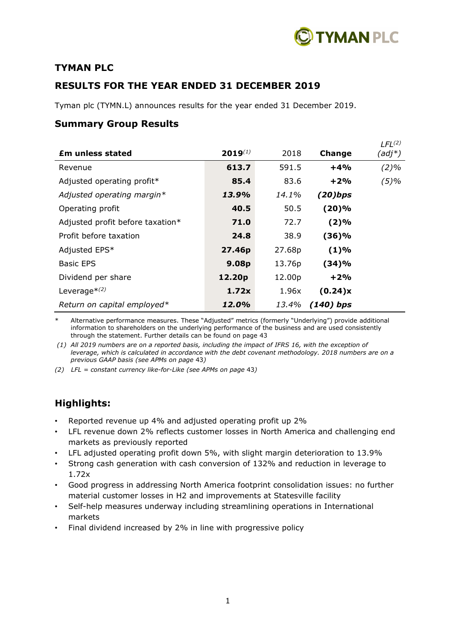

# **TYMAN PLC**

# **RESULTS FOR THE YEAR ENDED 31 DECEMBER 2019**

Tyman plc (TYMN.L) announces results for the year ended 31 December 2019.

# **Summary Group Results**

|                                  |              |        |             | LFL <sup>(2)</sup> |
|----------------------------------|--------------|--------|-------------|--------------------|
| <b>Em unless stated</b>          | $2019^{(1)}$ | 2018   | Change      | (adj*)             |
| Revenue                          | 613.7        | 591.5  | $+4%$       | $(2)\%$            |
| Adjusted operating profit*       | 85.4         | 83.6   | $+2%$       | $(5)\%$            |
| Adjusted operating margin*       | 13.9%        | 14.1%  | $(20)$ bps  |                    |
| Operating profit                 | 40.5         | 50.5   | (20)%       |                    |
| Adjusted profit before taxation* | 71.0         | 72.7   | (2)%        |                    |
| Profit before taxation           | 24.8         | 38.9   | (36)%       |                    |
| Adjusted EPS*                    | 27.46p       | 27.68p | (1)%        |                    |
| <b>Basic EPS</b>                 | 9.08p        | 13.76p | (34)%       |                    |
| Dividend per share               | 12.20p       | 12.00p | $+2%$       |                    |
| Leverage $*(2)$                  | 1.72x        | 1.96x  | (0.24)x     |                    |
| Return on capital employed*      | 12.0%        | 13.4%  | $(140)$ bps |                    |

Alternative performance measures. These "Adjusted" metrics (formerly "Underlying") provide additional information to shareholders on the underlying performance of the business and are used consistently through the statement. Further details can be found on page 43

*(1) All 2019 numbers are on a reported basis, including the impact of IFRS 16, with the exception of leverage, which is calculated in accordance with the debt covenant methodology. 2018 numbers are on a previous GAAP basis (see APMs on page* 43*)*

*(2) LFL = constant currency like-for-Like (see APMs on page* 43*)*

# **Highlights:**

- Reported revenue up 4% and adjusted operating profit up 2%
- LFL revenue down 2% reflects customer losses in North America and challenging end markets as previously reported
- LFL adjusted operating profit down 5%, with slight margin deterioration to 13.9%
- Strong cash generation with cash conversion of 132% and reduction in leverage to 1.72x
- Good progress in addressing North America footprint consolidation issues: no further material customer losses in H2 and improvements at Statesville facility
- Self-help measures underway including streamlining operations in International markets
- Final dividend increased by 2% in line with progressive policy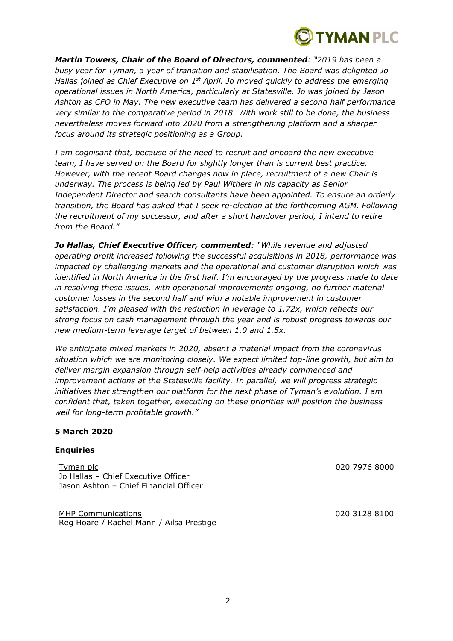

*Martin Towers, Chair of the Board of Directors, commented: "2019 has been a busy year for Tyman, a year of transition and stabilisation. The Board was delighted Jo Hallas joined as Chief Executive on 1st April. Jo moved quickly to address the emerging operational issues in North America, particularly at Statesville. Jo was joined by Jason Ashton as CFO in May. The new executive team has delivered a second half performance very similar to the comparative period in 2018. With work still to be done, the business nevertheless moves forward into 2020 from a strengthening platform and a sharper focus around its strategic positioning as a Group.*

*I am cognisant that, because of the need to recruit and onboard the new executive team, I have served on the Board for slightly longer than is current best practice. However, with the recent Board changes now in place, recruitment of a new Chair is underway. The process is being led by Paul Withers in his capacity as Senior Independent Director and search consultants have been appointed. To ensure an orderly transition, the Board has asked that I seek re-election at the forthcoming AGM. Following the recruitment of my successor, and after a short handover period, I intend to retire from the Board."*

*Jo Hallas, Chief Executive Officer, commented: "While revenue and adjusted operating profit increased following the successful acquisitions in 2018, performance was impacted by challenging markets and the operational and customer disruption which was identified in North America in the first half. I'm encouraged by the progress made to date in resolving these issues, with operational improvements ongoing, no further material customer losses in the second half and with a notable improvement in customer satisfaction. I'm pleased with the reduction in leverage to 1.72x, which reflects our strong focus on cash management through the year and is robust progress towards our new medium-term leverage target of between 1.0 and 1.5x.*

*We anticipate mixed markets in 2020, absent a material impact from the coronavirus situation which we are monitoring closely. We expect limited top-line growth, but aim to deliver margin expansion through self-help activities already commenced and improvement actions at the Statesville facility. In parallel, we will progress strategic initiatives that strengthen our platform for the next phase of Tyman's evolution. I am confident that, taken together, executing on these priorities will position the business well for long-term profitable growth."*

### **5 March 2020**

### **Enquiries**

Tyman plc 020 7976 8000 Jo Hallas – Chief Executive Officer Jason Ashton – Chief Financial Officer

MHP Communications 020 3128 8100 Reg Hoare / Rachel Mann / Ailsa Prestige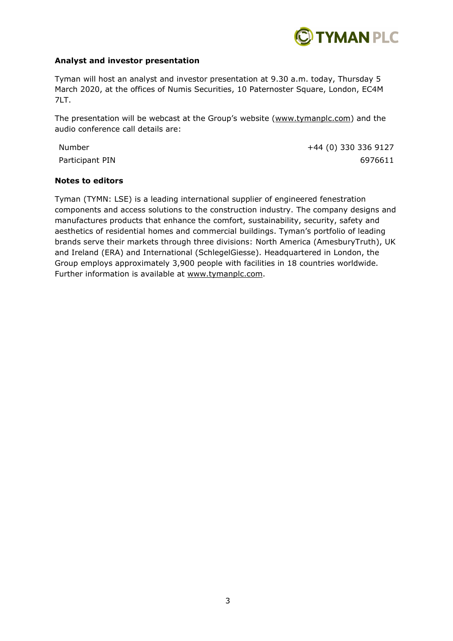

# **Analyst and investor presentation**

Tyman will host an analyst and investor presentation at 9.30 a.m. today, Thursday 5 March 2020, at the offices of Numis Securities, 10 Paternoster Square, London, EC4M 7LT.

The presentation will be webcast at the Group's website [\(www.tymanplc.com\)](http://www.tymanplc.com/) and the audio conference call details are:

Number +44 (0) 330 336 9127 Participant PIN 6976611

### **Notes to editors**

Tyman (TYMN: LSE) is a leading international supplier of engineered fenestration components and access solutions to the construction industry. The company designs and manufactures products that enhance the comfort, sustainability, security, safety and aesthetics of residential homes and commercial buildings. Tyman's portfolio of leading brands serve their markets through three divisions: North America (AmesburyTruth), UK and Ireland (ERA) and International (SchlegelGiesse). Headquartered in London, the Group employs approximately 3,900 people with facilities in 18 countries worldwide. Further information is available at [www.tymanplc.com.](http://www.tymanplc.com/)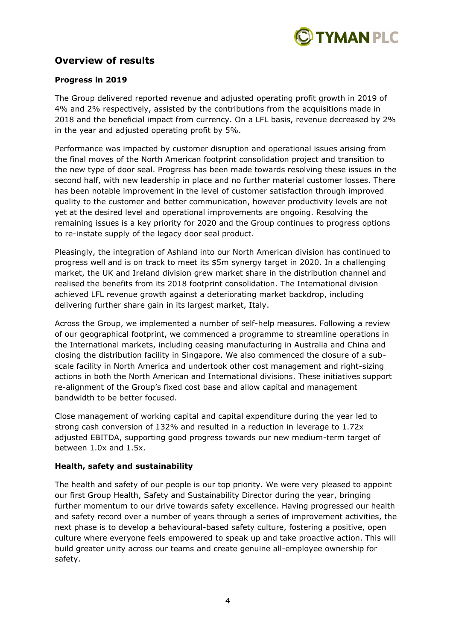

# **Overview of results**

# **Progress in 2019**

The Group delivered reported revenue and adjusted operating profit growth in 2019 of 4% and 2% respectively, assisted by the contributions from the acquisitions made in 2018 and the beneficial impact from currency. On a LFL basis, revenue decreased by 2% in the year and adjusted operating profit by 5%.

Performance was impacted by customer disruption and operational issues arising from the final moves of the North American footprint consolidation project and transition to the new type of door seal. Progress has been made towards resolving these issues in the second half, with new leadership in place and no further material customer losses. There has been notable improvement in the level of customer satisfaction through improved quality to the customer and better communication, however productivity levels are not yet at the desired level and operational improvements are ongoing. Resolving the remaining issues is a key priority for 2020 and the Group continues to progress options to re-instate supply of the legacy door seal product.

Pleasingly, the integration of Ashland into our North American division has continued to progress well and is on track to meet its \$5m synergy target in 2020. In a challenging market, the UK and Ireland division grew market share in the distribution channel and realised the benefits from its 2018 footprint consolidation. The International division achieved LFL revenue growth against a deteriorating market backdrop, including delivering further share gain in its largest market, Italy.

Across the Group, we implemented a number of self-help measures. Following a review of our geographical footprint, we commenced a programme to streamline operations in the International markets, including ceasing manufacturing in Australia and China and closing the distribution facility in Singapore. We also commenced the closure of a subscale facility in North America and undertook other cost management and right-sizing actions in both the North American and International divisions. These initiatives support re-alignment of the Group's fixed cost base and allow capital and management bandwidth to be better focused.

Close management of working capital and capital expenditure during the year led to strong cash conversion of 132% and resulted in a reduction in leverage to 1.72x adjusted EBITDA, supporting good progress towards our new medium-term target of between 1.0x and 1.5x.

# **Health, safety and sustainability**

The health and safety of our people is our top priority. We were very pleased to appoint our first Group Health, Safety and Sustainability Director during the year, bringing further momentum to our drive towards safety excellence. Having progressed our health and safety record over a number of years through a series of improvement activities, the next phase is to develop a behavioural-based safety culture, fostering a positive, open culture where everyone feels empowered to speak up and take proactive action. This will build greater unity across our teams and create genuine all-employee ownership for safety.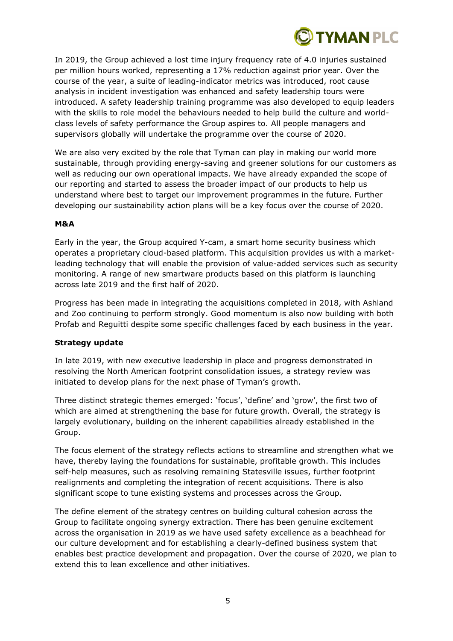

In 2019, the Group achieved a lost time injury frequency rate of 4.0 injuries sustained per million hours worked, representing a 17% reduction against prior year. Over the course of the year, a suite of leading-indicator metrics was introduced, root cause analysis in incident investigation was enhanced and safety leadership tours were introduced. A safety leadership training programme was also developed to equip leaders with the skills to role model the behaviours needed to help build the culture and worldclass levels of safety performance the Group aspires to. All people managers and supervisors globally will undertake the programme over the course of 2020.

We are also very excited by the role that Tyman can play in making our world more sustainable, through providing energy-saving and greener solutions for our customers as well as reducing our own operational impacts. We have already expanded the scope of our reporting and started to assess the broader impact of our products to help us understand where best to target our improvement programmes in the future. Further developing our sustainability action plans will be a key focus over the course of 2020.

# **M&A**

Early in the year, the Group acquired Y-cam, a smart home security business which operates a proprietary cloud-based platform. This acquisition provides us with a marketleading technology that will enable the provision of value-added services such as security monitoring. A range of new smartware products based on this platform is launching across late 2019 and the first half of 2020.

Progress has been made in integrating the acquisitions completed in 2018, with Ashland and Zoo continuing to perform strongly. Good momentum is also now building with both Profab and Reguitti despite some specific challenges faced by each business in the year.

### **Strategy update**

In late 2019, with new executive leadership in place and progress demonstrated in resolving the North American footprint consolidation issues, a strategy review was initiated to develop plans for the next phase of Tyman's growth.

Three distinct strategic themes emerged: 'focus', 'define' and 'grow', the first two of which are aimed at strengthening the base for future growth. Overall, the strategy is largely evolutionary, building on the inherent capabilities already established in the Group.

The focus element of the strategy reflects actions to streamline and strengthen what we have, thereby laying the foundations for sustainable, profitable growth. This includes self-help measures, such as resolving remaining Statesville issues, further footprint realignments and completing the integration of recent acquisitions. There is also significant scope to tune existing systems and processes across the Group.

The define element of the strategy centres on building cultural cohesion across the Group to facilitate ongoing synergy extraction. There has been genuine excitement across the organisation in 2019 as we have used safety excellence as a beachhead for our culture development and for establishing a clearly-defined business system that enables best practice development and propagation. Over the course of 2020, we plan to extend this to lean excellence and other initiatives.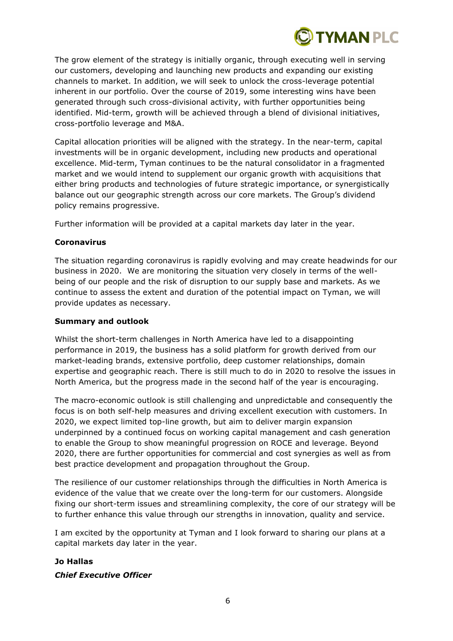

The grow element of the strategy is initially organic, through executing well in serving our customers, developing and launching new products and expanding our existing channels to market. In addition, we will seek to unlock the cross-leverage potential inherent in our portfolio. Over the course of 2019, some interesting wins have been generated through such cross-divisional activity, with further opportunities being identified. Mid-term, growth will be achieved through a blend of divisional initiatives, cross-portfolio leverage and M&A.

Capital allocation priorities will be aligned with the strategy. In the near-term, capital investments will be in organic development, including new products and operational excellence. Mid-term, Tyman continues to be the natural consolidator in a fragmented market and we would intend to supplement our organic growth with acquisitions that either bring products and technologies of future strategic importance, or synergistically balance out our geographic strength across our core markets. The Group's dividend policy remains progressive.

Further information will be provided at a capital markets day later in the year.

# **Coronavirus**

The situation regarding coronavirus is rapidly evolving and may create headwinds for our business in 2020. We are monitoring the situation very closely in terms of the wellbeing of our people and the risk of disruption to our supply base and markets. As we continue to assess the extent and duration of the potential impact on Tyman, we will provide updates as necessary.

# **Summary and outlook**

Whilst the short-term challenges in North America have led to a disappointing performance in 2019, the business has a solid platform for growth derived from our market-leading brands, extensive portfolio, deep customer relationships, domain expertise and geographic reach. There is still much to do in 2020 to resolve the issues in North America, but the progress made in the second half of the year is encouraging.

The macro-economic outlook is still challenging and unpredictable and consequently the focus is on both self-help measures and driving excellent execution with customers. In 2020, we expect limited top-line growth, but aim to deliver margin expansion underpinned by a continued focus on working capital management and cash generation to enable the Group to show meaningful progression on ROCE and leverage. Beyond 2020, there are further opportunities for commercial and cost synergies as well as from best practice development and propagation throughout the Group.

The resilience of our customer relationships through the difficulties in North America is evidence of the value that we create over the long-term for our customers. Alongside fixing our short-term issues and streamlining complexity, the core of our strategy will be to further enhance this value through our strengths in innovation, quality and service.

I am excited by the opportunity at Tyman and I look forward to sharing our plans at a capital markets day later in the year.

# **Jo Hallas** *Chief Executive Officer*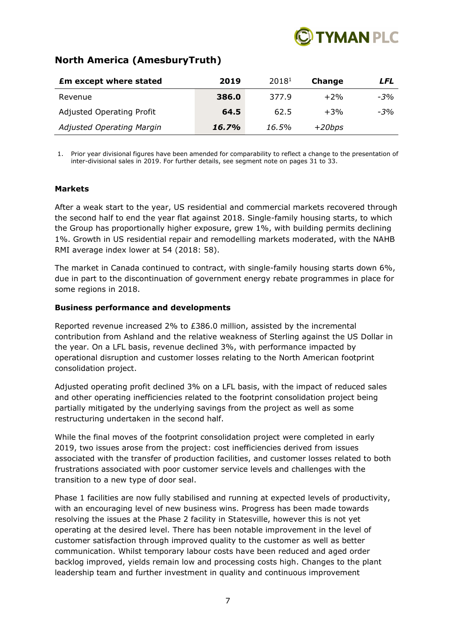

# **North America (AmesburyTruth)**

| <b>£m except where stated</b>    | 2019  | 20181 | Change   | LFL   |
|----------------------------------|-------|-------|----------|-------|
| Revenue                          | 386.0 | 377.9 | $+2%$    | $-3%$ |
| <b>Adjusted Operating Profit</b> | 64.5  | 62.5  | $+3%$    | $-3%$ |
| <b>Adjusted Operating Margin</b> | 16.7% | 16.5% | $+20bps$ |       |

1. Prior year divisional figures have been amended for comparability to reflect a change to the presentation of inter-divisional sales in 2019. For further details, see segment note on pages 31 to 33.

# **Markets**

After a weak start to the year, US residential and commercial markets recovered through the second half to end the year flat against 2018. Single-family housing starts, to which the Group has proportionally higher exposure, grew 1%, with building permits declining 1%. Growth in US residential repair and remodelling markets moderated, with the NAHB RMI average index lower at 54 (2018: 58).

The market in Canada continued to contract, with single-family housing starts down 6%, due in part to the discontinuation of government energy rebate programmes in place for some regions in 2018.

# **Business performance and developments**

Reported revenue increased 2% to £386.0 million, assisted by the incremental contribution from Ashland and the relative weakness of Sterling against the US Dollar in the year. On a LFL basis, revenue declined 3%, with performance impacted by operational disruption and customer losses relating to the North American footprint consolidation project.

Adjusted operating profit declined 3% on a LFL basis, with the impact of reduced sales and other operating inefficiencies related to the footprint consolidation project being partially mitigated by the underlying savings from the project as well as some restructuring undertaken in the second half.

While the final moves of the footprint consolidation project were completed in early 2019, two issues arose from the project: cost inefficiencies derived from issues associated with the transfer of production facilities, and customer losses related to both frustrations associated with poor customer service levels and challenges with the transition to a new type of door seal.

Phase 1 facilities are now fully stabilised and running at expected levels of productivity, with an encouraging level of new business wins. Progress has been made towards resolving the issues at the Phase 2 facility in Statesville, however this is not yet operating at the desired level. There has been notable improvement in the level of customer satisfaction through improved quality to the customer as well as better communication. Whilst temporary labour costs have been reduced and aged order backlog improved, yields remain low and processing costs high. Changes to the plant leadership team and further investment in quality and continuous improvement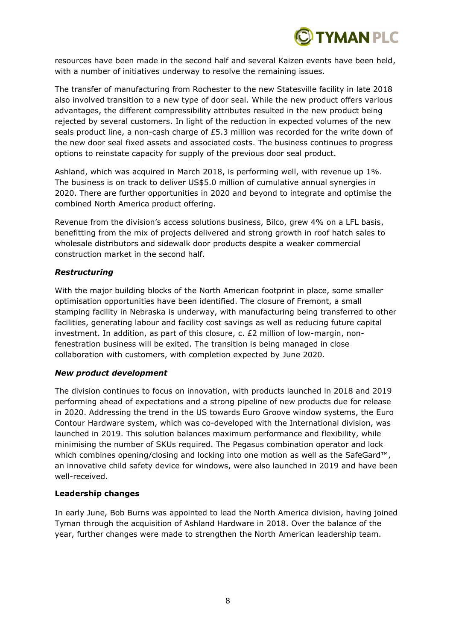

resources have been made in the second half and several Kaizen events have been held, with a number of initiatives underway to resolve the remaining issues.

The transfer of manufacturing from Rochester to the new Statesville facility in late 2018 also involved transition to a new type of door seal. While the new product offers various advantages, the different compressibility attributes resulted in the new product being rejected by several customers. In light of the reduction in expected volumes of the new seals product line, a non-cash charge of £5.3 million was recorded for the write down of the new door seal fixed assets and associated costs. The business continues to progress options to reinstate capacity for supply of the previous door seal product.

Ashland, which was acquired in March 2018, is performing well, with revenue up 1%. The business is on track to deliver US\$5.0 million of cumulative annual synergies in 2020. There are further opportunities in 2020 and beyond to integrate and optimise the combined North America product offering.

Revenue from the division's access solutions business, Bilco, grew 4% on a LFL basis, benefitting from the mix of projects delivered and strong growth in roof hatch sales to wholesale distributors and sidewalk door products despite a weaker commercial construction market in the second half.

# *Restructuring*

With the major building blocks of the North American footprint in place, some smaller optimisation opportunities have been identified. The closure of Fremont, a small stamping facility in Nebraska is underway, with manufacturing being transferred to other facilities, generating labour and facility cost savings as well as reducing future capital investment. In addition, as part of this closure, c. £2 million of low-margin, nonfenestration business will be exited. The transition is being managed in close collaboration with customers, with completion expected by June 2020.

### *New product development*

The division continues to focus on innovation, with products launched in 2018 and 2019 performing ahead of expectations and a strong pipeline of new products due for release in 2020. Addressing the trend in the US towards Euro Groove window systems, the Euro Contour Hardware system, which was co-developed with the International division, was launched in 2019. This solution balances maximum performance and flexibility, while minimising the number of SKUs required. The Pegasus combination operator and lock which combines opening/closing and locking into one motion as well as the SafeGard™, an innovative child safety device for windows, were also launched in 2019 and have been well-received.

### **Leadership changes**

In early June, Bob Burns was appointed to lead the North America division, having joined Tyman through the acquisition of Ashland Hardware in 2018. Over the balance of the year, further changes were made to strengthen the North American leadership team.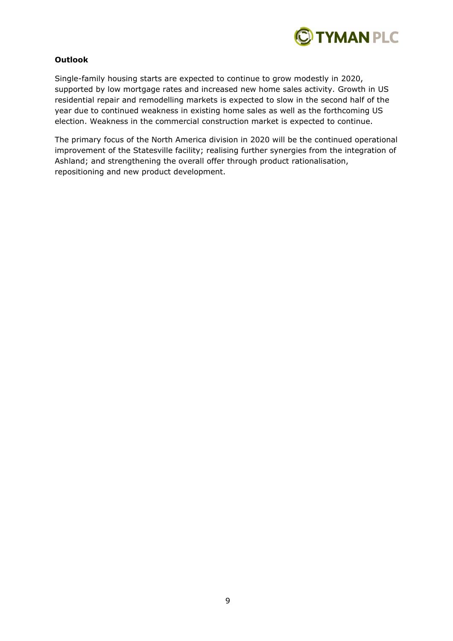

# **Outlook**

Single-family housing starts are expected to continue to grow modestly in 2020, supported by low mortgage rates and increased new home sales activity. Growth in US residential repair and remodelling markets is expected to slow in the second half of the year due to continued weakness in existing home sales as well as the forthcoming US election. Weakness in the commercial construction market is expected to continue.

The primary focus of the North America division in 2020 will be the continued operational improvement of the Statesville facility; realising further synergies from the integration of Ashland; and strengthening the overall offer through product rationalisation, repositioning and new product development.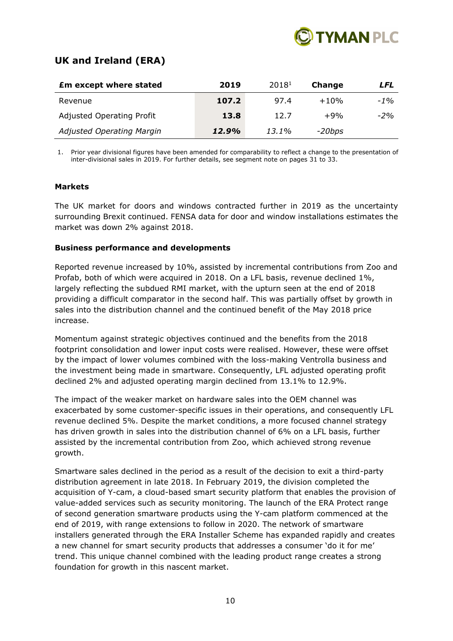

# **UK and Ireland (ERA)**

| <b>£m except where stated</b>    | 2019  | 20181 | Change   | LFL    |
|----------------------------------|-------|-------|----------|--------|
| Revenue                          | 107.2 | 97.4  | $+10%$   | $-1\%$ |
| <b>Adjusted Operating Profit</b> | 13.8  | 12.7  | $+9%$    | $-2%$  |
| <b>Adjusted Operating Margin</b> | 12.9% | 13.1% | $-20bps$ |        |

1. Prior year divisional figures have been amended for comparability to reflect a change to the presentation of inter-divisional sales in 2019. For further details, see segment note on pages 31 to 33.

### **Markets**

The UK market for doors and windows contracted further in 2019 as the uncertainty surrounding Brexit continued. FENSA data for door and window installations estimates the market was down 2% against 2018.

# **Business performance and developments**

Reported revenue increased by 10%, assisted by incremental contributions from Zoo and Profab, both of which were acquired in 2018. On a LFL basis, revenue declined 1%, largely reflecting the subdued RMI market, with the upturn seen at the end of 2018 providing a difficult comparator in the second half. This was partially offset by growth in sales into the distribution channel and the continued benefit of the May 2018 price increase.

Momentum against strategic objectives continued and the benefits from the 2018 footprint consolidation and lower input costs were realised. However, these were offset by the impact of lower volumes combined with the loss-making Ventrolla business and the investment being made in smartware. Consequently, LFL adjusted operating profit declined 2% and adjusted operating margin declined from 13.1% to 12.9%.

The impact of the weaker market on hardware sales into the OEM channel was exacerbated by some customer-specific issues in their operations, and consequently LFL revenue declined 5%. Despite the market conditions, a more focused channel strategy has driven growth in sales into the distribution channel of 6% on a LFL basis, further assisted by the incremental contribution from Zoo, which achieved strong revenue growth.

Smartware sales declined in the period as a result of the decision to exit a third-party distribution agreement in late 2018. In February 2019, the division completed the acquisition of Y-cam, a cloud-based smart security platform that enables the provision of value-added services such as security monitoring. The launch of the ERA Protect range of second generation smartware products using the Y-cam platform commenced at the end of 2019, with range extensions to follow in 2020. The network of smartware installers generated through the ERA Installer Scheme has expanded rapidly and creates a new channel for smart security products that addresses a consumer 'do it for me' trend. This unique channel combined with the leading product range creates a strong foundation for growth in this nascent market.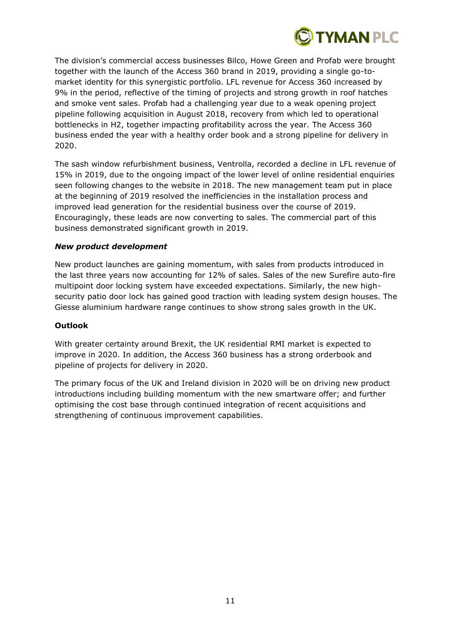

The division's commercial access businesses Bilco, Howe Green and Profab were brought together with the launch of the Access 360 brand in 2019, providing a single go-tomarket identity for this synergistic portfolio. LFL revenue for Access 360 increased by 9% in the period, reflective of the timing of projects and strong growth in roof hatches and smoke vent sales. Profab had a challenging year due to a weak opening project pipeline following acquisition in August 2018, recovery from which led to operational bottlenecks in H2, together impacting profitability across the year. The Access 360 business ended the year with a healthy order book and a strong pipeline for delivery in 2020.

The sash window refurbishment business, Ventrolla, recorded a decline in LFL revenue of 15% in 2019, due to the ongoing impact of the lower level of online residential enquiries seen following changes to the website in 2018. The new management team put in place at the beginning of 2019 resolved the inefficiencies in the installation process and improved lead generation for the residential business over the course of 2019. Encouragingly, these leads are now converting to sales. The commercial part of this business demonstrated significant growth in 2019.

# *New product development*

New product launches are gaining momentum, with sales from products introduced in the last three years now accounting for 12% of sales. Sales of the new Surefire auto-fire multipoint door locking system have exceeded expectations. Similarly, the new highsecurity patio door lock has gained good traction with leading system design houses. The Giesse aluminium hardware range continues to show strong sales growth in the UK.

### **Outlook**

With greater certainty around Brexit, the UK residential RMI market is expected to improve in 2020. In addition, the Access 360 business has a strong orderbook and pipeline of projects for delivery in 2020.

The primary focus of the UK and Ireland division in 2020 will be on driving new product introductions including building momentum with the new smartware offer; and further optimising the cost base through continued integration of recent acquisitions and strengthening of continuous improvement capabilities.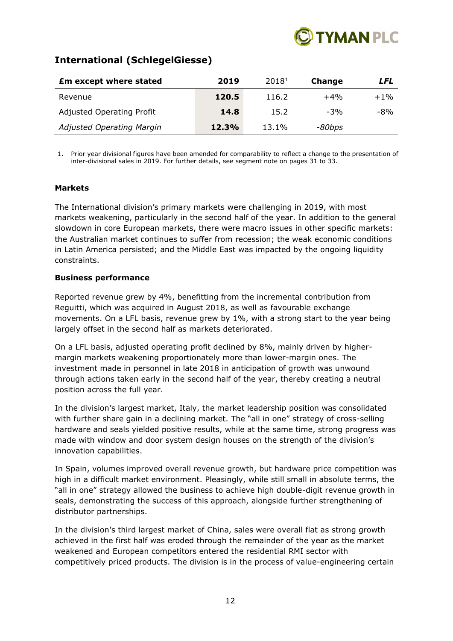

# **International (SchlegelGiesse)**

| <b>Em except where stated</b>    | 2019  | 20181 | Change | LFL    |
|----------------------------------|-------|-------|--------|--------|
| Revenue                          | 120.5 | 116.2 | $+4%$  | $+1\%$ |
| <b>Adjusted Operating Profit</b> | 14.8  | 15.2  | $-3%$  | $-8%$  |
| Adjusted Operating Margin        | 12.3% | 13.1% | -80bps |        |

1. Prior year divisional figures have been amended for comparability to reflect a change to the presentation of inter-divisional sales in 2019. For further details, see segment note on pages 31 to 33.

# **Markets**

The International division's primary markets were challenging in 2019, with most markets weakening, particularly in the second half of the year. In addition to the general slowdown in core European markets, there were macro issues in other specific markets: the Australian market continues to suffer from recession; the weak economic conditions in Latin America persisted; and the Middle East was impacted by the ongoing liquidity constraints.

# **Business performance**

Reported revenue grew by 4%, benefitting from the incremental contribution from Reguitti, which was acquired in August 2018, as well as favourable exchange movements. On a LFL basis, revenue grew by 1%, with a strong start to the year being largely offset in the second half as markets deteriorated.

On a LFL basis, adjusted operating profit declined by 8%, mainly driven by highermargin markets weakening proportionately more than lower-margin ones. The investment made in personnel in late 2018 in anticipation of growth was unwound through actions taken early in the second half of the year, thereby creating a neutral position across the full year.

In the division's largest market, Italy, the market leadership position was consolidated with further share gain in a declining market. The "all in one" strategy of cross-selling hardware and seals yielded positive results, while at the same time, strong progress was made with window and door system design houses on the strength of the division's innovation capabilities.

In Spain, volumes improved overall revenue growth, but hardware price competition was high in a difficult market environment. Pleasingly, while still small in absolute terms, the "all in one" strategy allowed the business to achieve high double-digit revenue growth in seals, demonstrating the success of this approach, alongside further strengthening of distributor partnerships.

In the division's third largest market of China, sales were overall flat as strong growth achieved in the first half was eroded through the remainder of the year as the market weakened and European competitors entered the residential RMI sector with competitively priced products. The division is in the process of value-engineering certain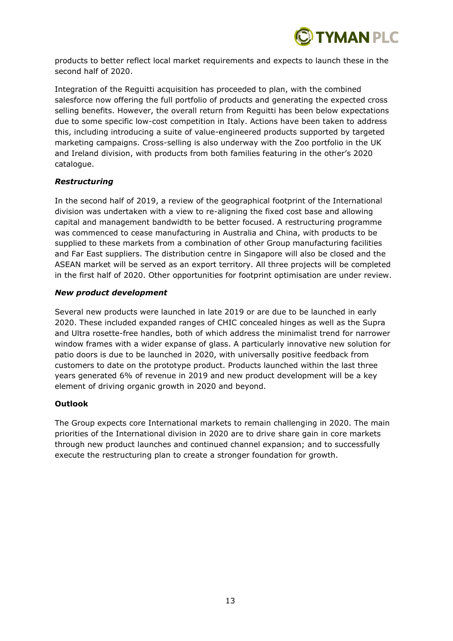

products to better reflect local market requirements and expects to launch these in the second half of 2020.

Integration of the Reguitti acquisition has proceeded to plan, with the combined salesforce now offering the full portfolio of products and generating the expected cross selling benefits. However, the overall return from Reguitti has been below expectations due to some specific low-cost competition in Italy. Actions have been taken to address this, including introducing a suite of value-engineered products supported by targeted marketing campaigns. Cross-selling is also underway with the Zoo portfolio in the UK and Ireland division, with products from both families featuring in the other's 2020 catalogue.

# *Restructuring*

In the second half of 2019, a review of the geographical footprint of the International division was undertaken with a view to re-aligning the fixed cost base and allowing capital and management bandwidth to be better focused. A restructuring programme was commenced to cease manufacturing in Australia and China, with products to be supplied to these markets from a combination of other Group manufacturing facilities and Far East suppliers. The distribution centre in Singapore will also be closed and the ASEAN market will be served as an export territory. All three projects will be completed in the first half of 2020. Other opportunities for footprint optimisation are under review.

# *New product development*

Several new products were launched in late 2019 or are due to be launched in early 2020. These included expanded ranges of CHIC concealed hinges as well as the Supra and Ultra rosette-free handles, both of which address the minimalist trend for narrower window frames with a wider expanse of glass. A particularly innovative new solution for patio doors is due to be launched in 2020, with universally positive feedback from customers to date on the prototype product. Products launched within the last three years generated 6% of revenue in 2019 and new product development will be a key element of driving organic growth in 2020 and beyond.

# **Outlook**

The Group expects core International markets to remain challenging in 2020. The main priorities of the International division in 2020 are to drive share gain in core markets through new product launches and continued channel expansion; and to successfully execute the restructuring plan to create a stronger foundation for growth.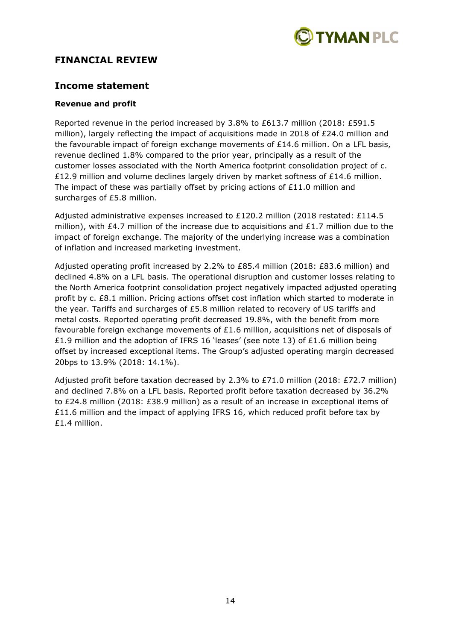

# **FINANCIAL REVIEW**

# **Income statement**

### **Revenue and profit**

Reported revenue in the period increased by 3.8% to £613.7 million (2018: £591.5 million), largely reflecting the impact of acquisitions made in 2018 of £24.0 million and the favourable impact of foreign exchange movements of £14.6 million. On a LFL basis, revenue declined 1.8% compared to the prior year, principally as a result of the customer losses associated with the North America footprint consolidation project of c. £12.9 million and volume declines largely driven by market softness of £14.6 million. The impact of these was partially offset by pricing actions of £11.0 million and surcharges of £5.8 million.

Adjusted administrative expenses increased to £120.2 million (2018 restated: £114.5 million), with £4.7 million of the increase due to acquisitions and £1.7 million due to the impact of foreign exchange. The majority of the underlying increase was a combination of inflation and increased marketing investment.

Adjusted operating profit increased by 2.2% to £85.4 million (2018: £83.6 million) and declined 4.8% on a LFL basis. The operational disruption and customer losses relating to the North America footprint consolidation project negatively impacted adjusted operating profit by c. £8.1 million. Pricing actions offset cost inflation which started to moderate in the year. Tariffs and surcharges of £5.8 million related to recovery of US tariffs and metal costs. Reported operating profit decreased 19.8%, with the benefit from more favourable foreign exchange movements of £1.6 million, acquisitions net of disposals of £1.9 million and the adoption of IFRS 16 'leases' (see note 13) of £1.6 million being offset by increased exceptional items. The Group's adjusted operating margin decreased 20bps to 13.9% (2018: 14.1%).

Adjusted profit before taxation decreased by 2.3% to £71.0 million (2018: £72.7 million) and declined 7.8% on a LFL basis. Reported profit before taxation decreased by 36.2% to £24.8 million (2018: £38.9 million) as a result of an increase in exceptional items of £11.6 million and the impact of applying IFRS 16, which reduced profit before tax by £1.4 million.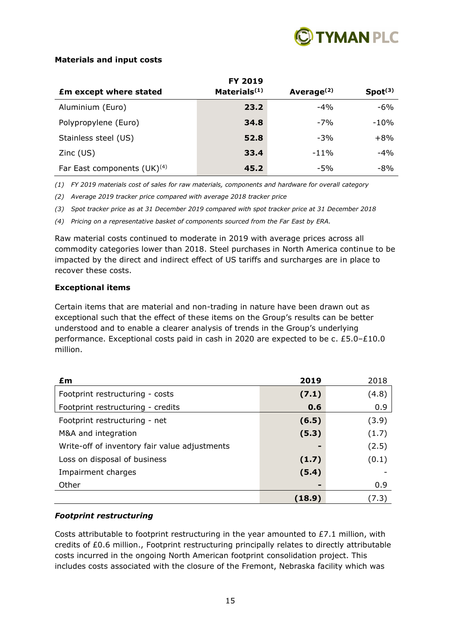

# **Materials and input costs**

|                                  | <b>FY 2019</b>           |                        |                     |
|----------------------------------|--------------------------|------------------------|---------------------|
| <b>£m except where stated</b>    | Materials <sup>(1)</sup> | Average <sup>(2)</sup> | Spot <sup>(3)</sup> |
| Aluminium (Euro)                 | 23.2                     | $-4%$                  | $-6%$               |
| Polypropylene (Euro)             | 34.8                     | $-7%$                  | $-10%$              |
| Stainless steel (US)             | 52.8                     | $-3%$                  | $+8%$               |
| $Zinc$ (US)                      | 33.4                     | $-11%$                 | $-4%$               |
| Far East components $(UK)^{(4)}$ | 45.2                     | $-5%$                  | $-8%$               |

*(1) FY 2019 materials cost of sales for raw materials, components and hardware for overall category*

*(2) Average 2019 tracker price compared with average 2018 tracker price* 

*(3) Spot tracker price as at 31 December 2019 compared with spot tracker price at 31 December 2018*

*(4) Pricing on a representative basket of components sourced from the Far East by ERA.*

Raw material costs continued to moderate in 2019 with average prices across all commodity categories lower than 2018. Steel purchases in North America continue to be impacted by the direct and indirect effect of US tariffs and surcharges are in place to recover these costs.

# **Exceptional items**

Certain items that are material and non-trading in nature have been drawn out as exceptional such that the effect of these items on the Group's results can be better understood and to enable a clearer analysis of trends in the Group's underlying performance. Exceptional costs paid in cash in 2020 are expected to be c. £5.0–£10.0 million.

| £m                                            | 2019   | 2018  |
|-----------------------------------------------|--------|-------|
| Footprint restructuring - costs               | (7.1)  | (4.8) |
| Footprint restructuring - credits             | 0.6    | 0.9   |
| Footprint restructuring - net                 | (6.5)  | (3.9) |
| M&A and integration                           | (5.3)  | (1.7) |
| Write-off of inventory fair value adjustments | -      | (2.5) |
| Loss on disposal of business                  | (1.7)  | (0.1) |
| Impairment charges                            | (5.4)  |       |
| Other                                         | ь      | 0.9   |
|                                               | (18.9) | (7.3) |

# *Footprint restructuring*

Costs attributable to footprint restructuring in the year amounted to  $E7.1$  million, with credits of £0.6 million., Footprint restructuring principally relates to directly attributable costs incurred in the ongoing North American footprint consolidation project. This includes costs associated with the closure of the Fremont, Nebraska facility which was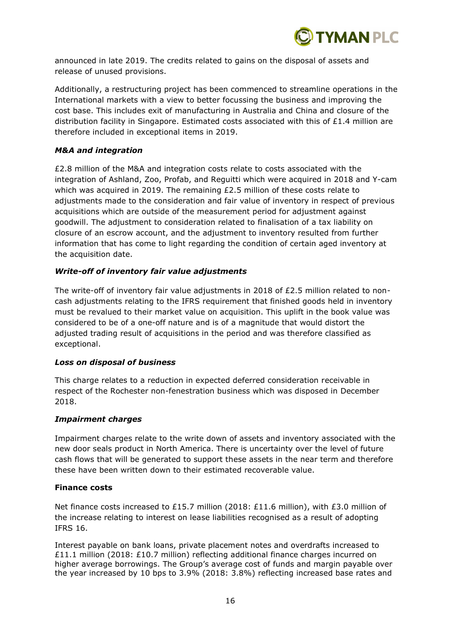

announced in late 2019. The credits related to gains on the disposal of assets and release of unused provisions.

Additionally, a restructuring project has been commenced to streamline operations in the International markets with a view to better focussing the business and improving the cost base. This includes exit of manufacturing in Australia and China and closure of the distribution facility in Singapore. Estimated costs associated with this of  $£1.4$  million are therefore included in exceptional items in 2019.

### *M&A and integration*

£2.8 million of the M&A and integration costs relate to costs associated with the integration of Ashland, Zoo, Profab, and Reguitti which were acquired in 2018 and Y-cam which was acquired in 2019. The remaining  $£2.5$  million of these costs relate to adjustments made to the consideration and fair value of inventory in respect of previous acquisitions which are outside of the measurement period for adjustment against goodwill. The adjustment to consideration related to finalisation of a tax liability on closure of an escrow account, and the adjustment to inventory resulted from further information that has come to light regarding the condition of certain aged inventory at the acquisition date.

# *Write-off of inventory fair value adjustments*

The write-off of inventory fair value adjustments in 2018 of £2.5 million related to noncash adjustments relating to the IFRS requirement that finished goods held in inventory must be revalued to their market value on acquisition. This uplift in the book value was considered to be of a one-off nature and is of a magnitude that would distort the adjusted trading result of acquisitions in the period and was therefore classified as exceptional.

### *Loss on disposal of business*

This charge relates to a reduction in expected deferred consideration receivable in respect of the Rochester non-fenestration business which was disposed in December 2018.

### *Impairment charges*

Impairment charges relate to the write down of assets and inventory associated with the new door seals product in North America. There is uncertainty over the level of future cash flows that will be generated to support these assets in the near term and therefore these have been written down to their estimated recoverable value.

### **Finance costs**

Net finance costs increased to £15.7 million (2018: £11.6 million), with £3.0 million of the increase relating to interest on lease liabilities recognised as a result of adopting IFRS 16.

Interest payable on bank loans, private placement notes and overdrafts increased to £11.1 million (2018: £10.7 million) reflecting additional finance charges incurred on higher average borrowings. The Group's average cost of funds and margin payable over the year increased by 10 bps to 3.9% (2018: 3.8%) reflecting increased base rates and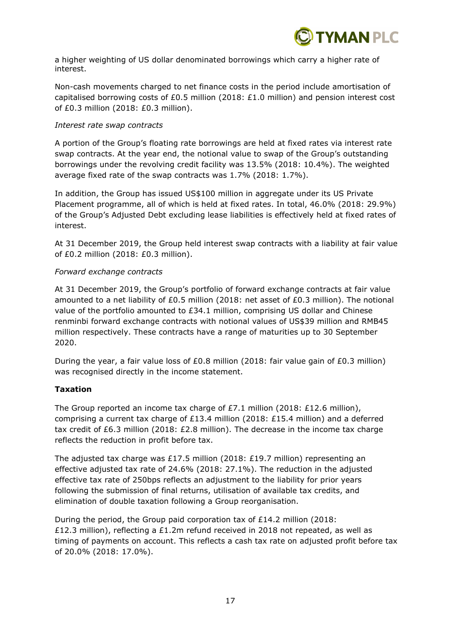

a higher weighting of US dollar denominated borrowings which carry a higher rate of interest.

Non-cash movements charged to net finance costs in the period include amortisation of capitalised borrowing costs of £0.5 million (2018: £1.0 million) and pension interest cost of £0.3 million (2018: £0.3 million).

# *Interest rate swap contracts*

A portion of the Group's floating rate borrowings are held at fixed rates via interest rate swap contracts. At the year end, the notional value to swap of the Group's outstanding borrowings under the revolving credit facility was 13.5% (2018: 10.4%). The weighted average fixed rate of the swap contracts was 1.7% (2018: 1.7%).

In addition, the Group has issued US\$100 million in aggregate under its US Private Placement programme, all of which is held at fixed rates. In total, 46.0% (2018: 29.9%) of the Group's Adjusted Debt excluding lease liabilities is effectively held at fixed rates of interest.

At 31 December 2019, the Group held interest swap contracts with a liability at fair value of £0.2 million (2018: £0.3 million).

# *Forward exchange contracts*

At 31 December 2019, the Group's portfolio of forward exchange contracts at fair value amounted to a net liability of £0.5 million (2018: net asset of £0.3 million). The notional value of the portfolio amounted to £34.1 million, comprising US dollar and Chinese renminbi forward exchange contracts with notional values of US\$39 million and RMB45 million respectively. These contracts have a range of maturities up to 30 September 2020.

During the year, a fair value loss of £0.8 million (2018: fair value gain of £0.3 million) was recognised directly in the income statement.

# **Taxation**

The Group reported an income tax charge of £7.1 million (2018: £12.6 million), comprising a current tax charge of £13.4 million (2018: £15.4 million) and a deferred tax credit of £6.3 million (2018: £2.8 million). The decrease in the income tax charge reflects the reduction in profit before tax.

The adjusted tax charge was £17.5 million (2018: £19.7 million) representing an effective adjusted tax rate of 24.6% (2018: 27.1%). The reduction in the adjusted effective tax rate of 250bps reflects an adjustment to the liability for prior years following the submission of final returns, utilisation of available tax credits, and elimination of double taxation following a Group reorganisation.

During the period, the Group paid corporation tax of £14.2 million (2018: £12.3 million), reflecting a £1.2m refund received in 2018 not repeated, as well as timing of payments on account. This reflects a cash tax rate on adjusted profit before tax of 20.0% (2018: 17.0%).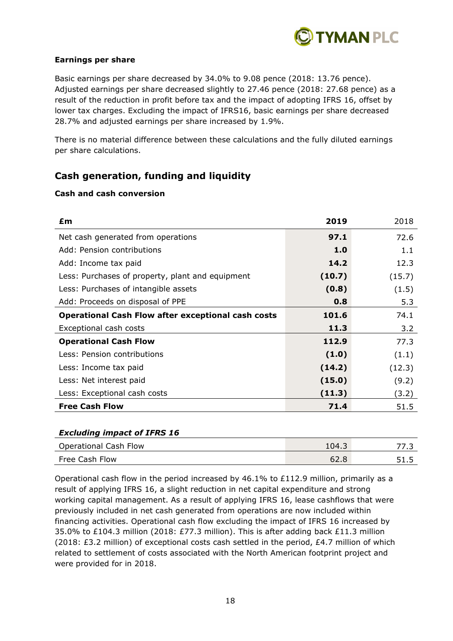

# **Earnings per share**

Basic earnings per share decreased by 34.0% to 9.08 pence (2018: 13.76 pence). Adjusted earnings per share decreased slightly to 27.46 pence (2018: 27.68 pence) as a result of the reduction in profit before tax and the impact of adopting IFRS 16, offset by lower tax charges. Excluding the impact of IFRS16, basic earnings per share decreased 28.7% and adjusted earnings per share increased by 1.9%.

There is no material difference between these calculations and the fully diluted earnings per share calculations.

# **Cash generation, funding and liquidity**

# **Cash and cash conversion**

| £m                                                        | 2019   | 2018   |
|-----------------------------------------------------------|--------|--------|
| Net cash generated from operations                        | 97.1   | 72.6   |
| Add: Pension contributions                                | 1.0    | 1.1    |
| Add: Income tax paid                                      | 14.2   | 12.3   |
| Less: Purchases of property, plant and equipment          | (10.7) | (15.7) |
| Less: Purchases of intangible assets                      | (0.8)  | (1.5)  |
| Add: Proceeds on disposal of PPE                          | 0.8    | 5.3    |
| <b>Operational Cash Flow after exceptional cash costs</b> | 101.6  | 74.1   |
| Exceptional cash costs                                    | 11.3   | 3.2    |
| <b>Operational Cash Flow</b>                              | 112.9  | 77.3   |
| Less: Pension contributions                               | (1.0)  | (1.1)  |
| Less: Income tax paid                                     | (14.2) | (12.3) |
| Less: Net interest paid                                   | (15.0) | (9.2)  |
| Less: Exceptional cash costs                              | (11.3) | (3.2)  |
| <b>Free Cash Flow</b>                                     | 71.4   | 51.5   |

### *Excluding impact of IFRS 16*

| <b>Operational Cash Flow</b> | 104.3 |  |
|------------------------------|-------|--|
| Free Cash Flow               | 62.8  |  |

Operational cash flow in the period increased by 46.1% to £112.9 million, primarily as a result of applying IFRS 16, a slight reduction in net capital expenditure and strong working capital management. As a result of applying IFRS 16, lease cashflows that were previously included in net cash generated from operations are now included within financing activities. Operational cash flow excluding the impact of IFRS 16 increased by 35.0% to £104.3 million (2018: £77.3 million). This is after adding back £11.3 million (2018: £3.2 million) of exceptional costs cash settled in the period,  $£4.7$  million of which related to settlement of costs associated with the North American footprint project and were provided for in 2018.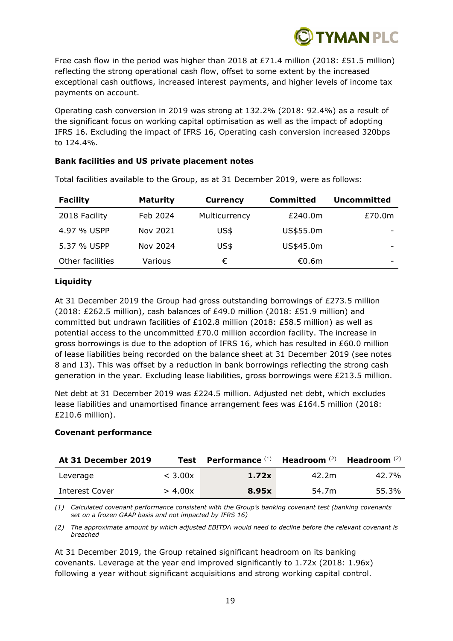

Free cash flow in the period was higher than 2018 at £71.4 million (2018: £51.5 million) reflecting the strong operational cash flow, offset to some extent by the increased exceptional cash outflows, increased interest payments, and higher levels of income tax payments on account.

Operating cash conversion in 2019 was strong at 132.2% (2018: 92.4%) as a result of the significant focus on working capital optimisation as well as the impact of adopting IFRS 16. Excluding the impact of IFRS 16, Operating cash conversion increased 320bps to 124.4%.

### **Bank facilities and US private placement notes**

| <b>Facility</b>  | <b>Maturity</b> | <b>Currency</b> | <b>Committed</b> | <b>Uncommitted</b> |
|------------------|-----------------|-----------------|------------------|--------------------|
| 2018 Facility    | Feb 2024        | Multicurrency   | £240.0m          | £70.0m             |
| 4.97 % USPP      | Nov 2021        | US\$            | US\$55.0m        |                    |
| 5.37 % USPP      | Nov 2024        | US\$            | US\$45.0m        | -                  |
| Other facilities | Various         | €               | €0.6m            |                    |

Total facilities available to the Group, as at 31 December 2019, were as follows:

# **Liquidity**

At 31 December 2019 the Group had gross outstanding borrowings of £273.5 million (2018: £262.5 million), cash balances of £49.0 million (2018: £51.9 million) and committed but undrawn facilities of £102.8 million (2018: £58.5 million) as well as potential access to the uncommitted £70.0 million accordion facility. The increase in gross borrowings is due to the adoption of IFRS 16, which has resulted in £60.0 million of lease liabilities being recorded on the balance sheet at 31 December 2019 (see notes 8 and 13). This was offset by a reduction in bank borrowings reflecting the strong cash generation in the year. Excluding lease liabilities, gross borrowings were £213.5 million.

Net debt at 31 December 2019 was £224.5 million. Adjusted net debt, which excludes lease liabilities and unamortised finance arrangement fees was £164.5 million (2018: £210.6 million).

# **Covenant performance**

| At 31 December 2019 | Test    | Performance <sup>(1)</sup> | Headroom $(2)$ | Headroom $(2)$ |
|---------------------|---------|----------------------------|----------------|----------------|
| Leverage            | < 3.00x | 1.72x                      | 42.2m          | 42.7%          |
| Interest Cover      | > 4.00x | 8.95x                      | 54.7m          | 55.3%          |

*(1) Calculated covenant performance consistent with the Group's banking covenant test (banking covenants set on a frozen GAAP basis and not impacted by IFRS 16)*

*(2) The approximate amount by which adjusted EBITDA would need to decline before the relevant covenant is breached*

At 31 December 2019, the Group retained significant headroom on its banking covenants. Leverage at the year end improved significantly to 1.72x (2018: 1.96x) following a year without significant acquisitions and strong working capital control.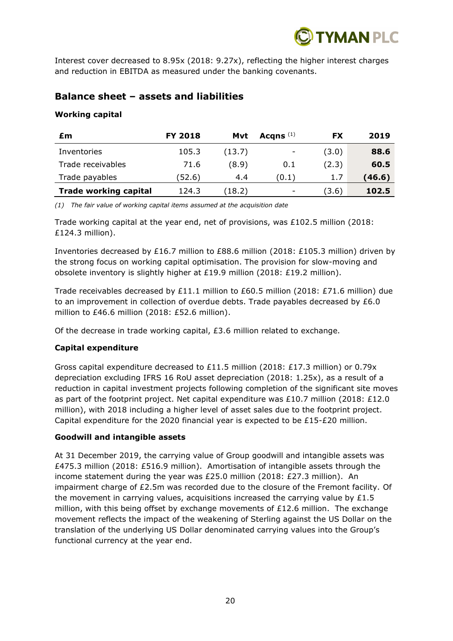

Interest cover decreased to 8.95x (2018: 9.27x), reflecting the higher interest charges and reduction in EBITDA as measured under the banking covenants.

# **Balance sheet – assets and liabilities**

# **Working capital**

| £m                           | <b>FY 2018</b> | Mvt    | Acqns $(1)$              | FX    | 2019   |
|------------------------------|----------------|--------|--------------------------|-------|--------|
| Inventories                  | 105.3          | (13.7) | $\overline{\phantom{a}}$ | (3.0) | 88.6   |
| Trade receivables            | 71.6           | (8.9)  | 0.1                      | (2.3) | 60.5   |
| Trade payables               | (52.6          | 4.4    | (0.1)                    | 1.7   | (46.6) |
| <b>Trade working capital</b> | 124.3          | (18.2) | -                        | (3.6) | 102.5  |

*(1) The fair value of working capital items assumed at the acquisition date*

Trade working capital at the year end, net of provisions, was  $£102.5$  million (2018: £124.3 million).

Inventories decreased by £16.7 million to £88.6 million (2018: £105.3 million) driven by the strong focus on working capital optimisation. The provision for slow-moving and obsolete inventory is slightly higher at £19.9 million (2018: £19.2 million).

Trade receivables decreased by £11.1 million to £60.5 million (2018: £71.6 million) due to an improvement in collection of overdue debts. Trade payables decreased by  $£6.0$ million to £46.6 million (2018: £52.6 million).

Of the decrease in trade working capital, £3.6 million related to exchange.

# **Capital expenditure**

Gross capital expenditure decreased to £11.5 million (2018: £17.3 million) or 0.79x depreciation excluding IFRS 16 RoU asset depreciation (2018: 1.25x), as a result of a reduction in capital investment projects following completion of the significant site moves as part of the footprint project. Net capital expenditure was £10.7 million (2018: £12.0 million), with 2018 including a higher level of asset sales due to the footprint project. Capital expenditure for the 2020 financial year is expected to be £15-£20 million.

# **Goodwill and intangible assets**

At 31 December 2019, the carrying value of Group goodwill and intangible assets was £475.3 million (2018: £516.9 million). Amortisation of intangible assets through the income statement during the year was £25.0 million (2018: £27.3 million). An impairment charge of £2.5m was recorded due to the closure of the Fremont facility. Of the movement in carrying values, acquisitions increased the carrying value by  $£1.5$ million, with this being offset by exchange movements of £12.6 million. The exchange movement reflects the impact of the weakening of Sterling against the US Dollar on the translation of the underlying US Dollar denominated carrying values into the Group's functional currency at the year end.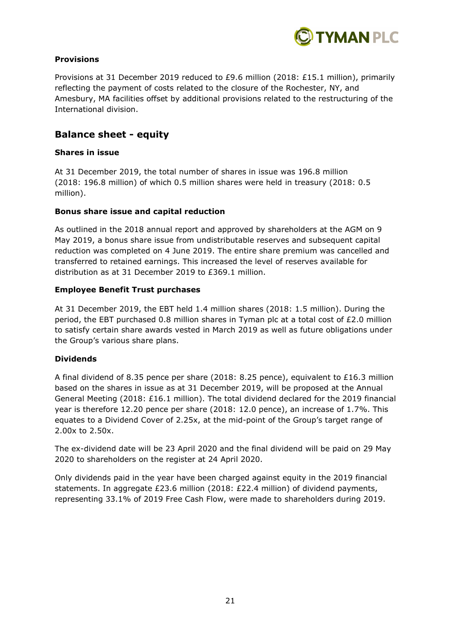

# **Provisions**

Provisions at 31 December 2019 reduced to £9.6 million (2018: £15.1 million), primarily reflecting the payment of costs related to the closure of the Rochester, NY, and Amesbury, MA facilities offset by additional provisions related to the restructuring of the International division.

# **Balance sheet - equity**

# **Shares in issue**

At 31 December 2019, the total number of shares in issue was 196.8 million (2018: 196.8 million) of which 0.5 million shares were held in treasury (2018: 0.5 million).

# **Bonus share issue and capital reduction**

As outlined in the 2018 annual report and approved by shareholders at the AGM on 9 May 2019, a bonus share issue from undistributable reserves and subsequent capital reduction was completed on 4 June 2019. The entire share premium was cancelled and transferred to retained earnings. This increased the level of reserves available for distribution as at 31 December 2019 to £369.1 million.

# **Employee Benefit Trust purchases**

At 31 December 2019, the EBT held 1.4 million shares (2018: 1.5 million). During the period, the EBT purchased 0.8 million shares in Tyman plc at a total cost of £2.0 million to satisfy certain share awards vested in March 2019 as well as future obligations under the Group's various share plans.

# **Dividends**

A final dividend of 8.35 pence per share (2018: 8.25 pence), equivalent to £16.3 million based on the shares in issue as at 31 December 2019, will be proposed at the Annual General Meeting (2018: £16.1 million). The total dividend declared for the 2019 financial year is therefore 12.20 pence per share (2018: 12.0 pence), an increase of 1.7%. This equates to a Dividend Cover of 2.25x, at the mid-point of the Group's target range of 2.00x to 2.50x.

The ex-dividend date will be 23 April 2020 and the final dividend will be paid on 29 May 2020 to shareholders on the register at 24 April 2020.

Only dividends paid in the year have been charged against equity in the 2019 financial statements. In aggregate £23.6 million (2018: £22.4 million) of dividend payments, representing 33.1% of 2019 Free Cash Flow, were made to shareholders during 2019.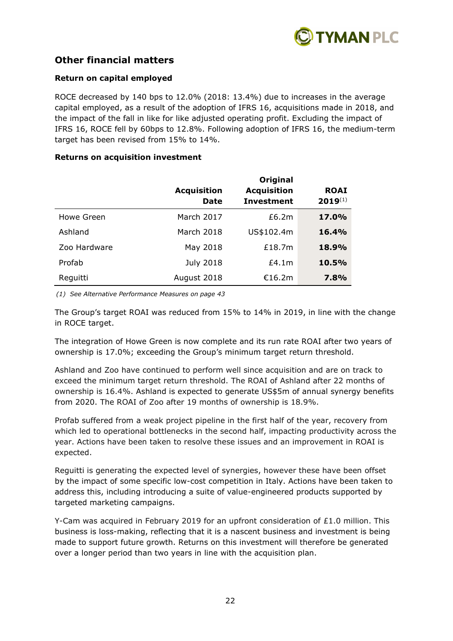

# **Other financial matters**

# **Return on capital employed**

ROCE decreased by 140 bps to 12.0% (2018: 13.4%) due to increases in the average capital employed, as a result of the adoption of IFRS 16, acquisitions made in 2018, and the impact of the fall in like for like adjusted operating profit. Excluding the impact of IFRS 16, ROCE fell by 60bps to 12.8%. Following adoption of IFRS 16, the medium-term target has been revised from 15% to 14%.

### **Returns on acquisition investment**

|              | <b>Acquisition</b><br><b>Date</b> | <b>Original</b><br><b>Acquisition</b><br><b>Investment</b> | <b>ROAI</b><br>$2019^{(1)}$ |
|--------------|-----------------------------------|------------------------------------------------------------|-----------------------------|
| Howe Green   | March 2017                        | £6.2m                                                      | <b>17.0%</b>                |
| Ashland      | March 2018                        | US\$102.4m                                                 | <b>16.4%</b>                |
| Zoo Hardware | May 2018                          | £18.7m                                                     | 18.9%                       |
| Profab       | <b>July 2018</b>                  | £4.1m                                                      | 10.5%                       |
| Reguitti     | August 2018                       | €16.2m                                                     | 7.8%                        |

*(1) See Alternative Performance Measures on page 43*

The Group's target ROAI was reduced from 15% to 14% in 2019, in line with the change in ROCE target.

The integration of Howe Green is now complete and its run rate ROAI after two years of ownership is 17.0%; exceeding the Group's minimum target return threshold.

Ashland and Zoo have continued to perform well since acquisition and are on track to exceed the minimum target return threshold. The ROAI of Ashland after 22 months of ownership is 16.4%. Ashland is expected to generate US\$5m of annual synergy benefits from 2020. The ROAI of Zoo after 19 months of ownership is 18.9%.

Profab suffered from a weak project pipeline in the first half of the year, recovery from which led to operational bottlenecks in the second half, impacting productivity across the year. Actions have been taken to resolve these issues and an improvement in ROAI is expected.

Reguitti is generating the expected level of synergies, however these have been offset by the impact of some specific low-cost competition in Italy. Actions have been taken to address this, including introducing a suite of value-engineered products supported by targeted marketing campaigns.

Y-Cam was acquired in February 2019 for an upfront consideration of  $£1.0$  million. This business is loss-making, reflecting that it is a nascent business and investment is being made to support future growth. Returns on this investment will therefore be generated over a longer period than two years in line with the acquisition plan.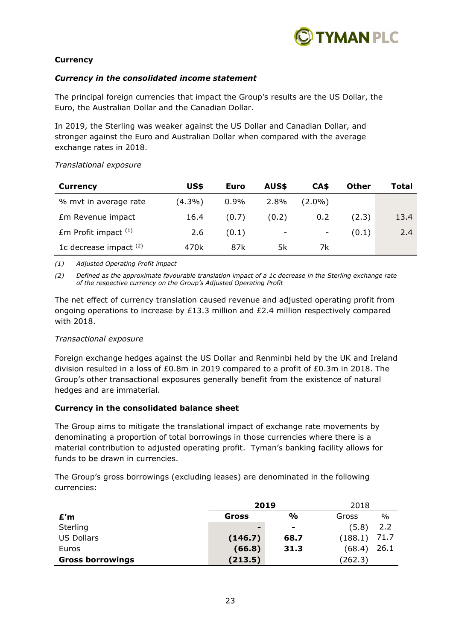

# **Currency**

# *Currency in the consolidated income statement*

The principal foreign currencies that impact the Group's results are the US Dollar, the Euro, the Australian Dollar and the Canadian Dollar.

In 2019, the Sterling was weaker against the US Dollar and Canadian Dollar, and stronger against the Euro and Australian Dollar when compared with the average exchange rates in 2018.

| Translational exposure |  |
|------------------------|--|
|------------------------|--|

| <b>Currency</b>          | US\$      | <b>Euro</b> | AUS\$ | CA\$      | <b>Other</b> | Total |
|--------------------------|-----------|-------------|-------|-----------|--------------|-------|
| % mvt in average rate    | $(4.3\%)$ | $0.9\%$     | 2.8%  | $(2.0\%)$ |              |       |
| Em Revenue impact        | 16.4      | (0.7)       | (0.2) | 0.2       | (2.3)        | 13.4  |
| $Em$ Profit impact $(1)$ | 2.6       | (0.1)       | -     | -         | (0.1)        | 2.4   |
| 1c decrease impact $(2)$ | 470k      | 87k         | 5k    | 7k        |              |       |

*(1) Adjusted Operating Profit impact*

*(2) Defined as the approximate favourable translation impact of a 1c decrease in the Sterling exchange rate of the respective currency on the Group's Adjusted Operating Profit*

The net effect of currency translation caused revenue and adjusted operating profit from ongoing operations to increase by £13.3 million and £2.4 million respectively compared with 2018.

### *Transactional exposure*

Foreign exchange hedges against the US Dollar and Renminbi held by the UK and Ireland division resulted in a loss of  $E0.8m$  in 2019 compared to a profit of  $E0.3m$  in 2018. The Group's other transactional exposures generally benefit from the existence of natural hedges and are immaterial.

### **Currency in the consolidated balance sheet**

The Group aims to mitigate the translational impact of exchange rate movements by denominating a proportion of total borrowings in those currencies where there is a material contribution to adjusted operating profit. Tyman's banking facility allows for funds to be drawn in currencies.

The Group's gross borrowings (excluding leases) are denominated in the following currencies:

|                         | 2019                     |                | 2018            |
|-------------------------|--------------------------|----------------|-----------------|
| £′m                     | Gross                    | %              | $\%$<br>Gross   |
| Sterling                | $\overline{\phantom{0}}$ | $\blacksquare$ | 2.2<br>(5.8)    |
| <b>US Dollars</b>       | (146.7)                  | 68.7           | 71.7<br>(188.1) |
| Euros                   | (66.8)                   | 31.3           | 26.1<br>(68.4)  |
| <b>Gross borrowings</b> | (213.5)                  |                | (262.3)         |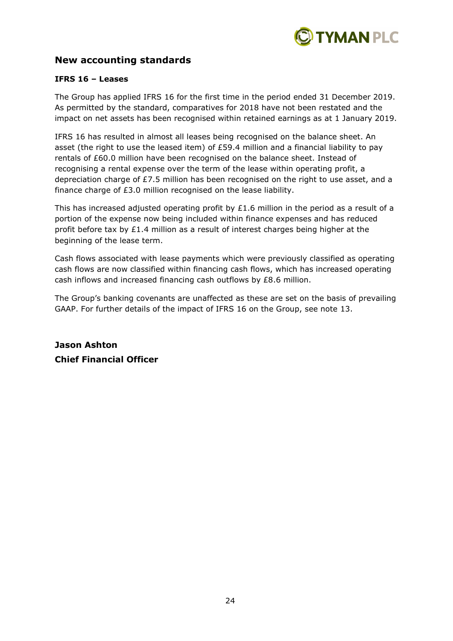

# **New accounting standards**

# **IFRS 16 – Leases**

The Group has applied IFRS 16 for the first time in the period ended 31 December 2019. As permitted by the standard, comparatives for 2018 have not been restated and the impact on net assets has been recognised within retained earnings as at 1 January 2019.

IFRS 16 has resulted in almost all leases being recognised on the balance sheet. An asset (the right to use the leased item) of £59.4 million and a financial liability to pay rentals of £60.0 million have been recognised on the balance sheet. Instead of recognising a rental expense over the term of the lease within operating profit, a depreciation charge of £7.5 million has been recognised on the right to use asset, and a finance charge of £3.0 million recognised on the lease liability.

This has increased adjusted operating profit by  $£1.6$  million in the period as a result of a portion of the expense now being included within finance expenses and has reduced profit before tax by £1.4 million as a result of interest charges being higher at the beginning of the lease term.

Cash flows associated with lease payments which were previously classified as operating cash flows are now classified within financing cash flows, which has increased operating cash inflows and increased financing cash outflows by £8.6 million.

The Group's banking covenants are unaffected as these are set on the basis of prevailing GAAP. For further details of the impact of IFRS 16 on the Group, see note 13.

**Jason Ashton Chief Financial Officer**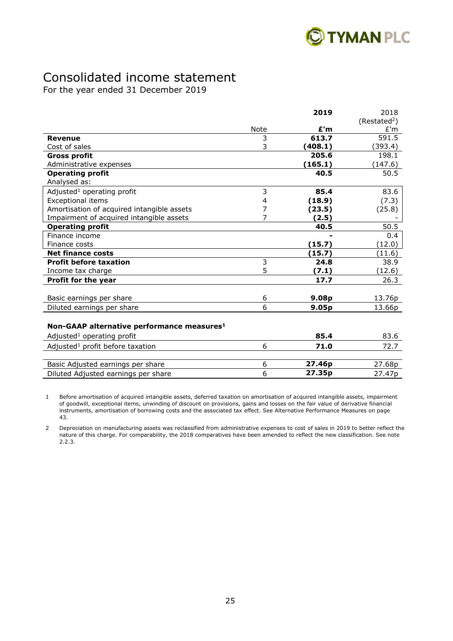

# Consolidated income statement

For the year ended 31 December 2019

|                                                        |      | 2019              | 2018                     |
|--------------------------------------------------------|------|-------------------|--------------------------|
|                                                        |      |                   | (Restated <sup>2</sup> ) |
|                                                        | Note | £'m               | E'm                      |
| <b>Revenue</b>                                         | 3    | 613.7             | 591.5                    |
| Cost of sales                                          | 3    | (408.1)           | (393.4)                  |
| <b>Gross profit</b>                                    |      | 205.6             | 198.1                    |
| Administrative expenses                                |      | (165.1)           | (147.6)                  |
| <b>Operating profit</b>                                |      | 40.5              | 50.5                     |
| Analysed as:                                           |      |                   |                          |
| Adjusted <sup>1</sup> operating profit                 | 3    | 85.4              | 83.6                     |
| <b>Exceptional items</b>                               | 4    | (18.9)            | (7.3)                    |
| Amortisation of acquired intangible assets             | 7    | (23.5)            | (25.8)                   |
| Impairment of acquired intangible assets               | 7    | (2.5)             |                          |
| <b>Operating profit</b>                                |      | 40.5              | 50.5                     |
| Finance income                                         |      |                   | 0.4                      |
| Finance costs                                          |      | (15.7)            | (12.0)                   |
| <b>Net finance costs</b>                               |      | (15.7)            | (11.6)                   |
| <b>Profit before taxation</b>                          | 3    | 24.8              | 38.9                     |
| Income tax charge                                      | 5    | (7.1)             | (12.6)                   |
| Profit for the year                                    |      | 17.7              | 26.3                     |
|                                                        | 6    | 9.08p             |                          |
| Basic earnings per share                               | 6    |                   | 13.76p                   |
| Diluted earnings per share                             |      | 9.05 <sub>p</sub> | 13.66p                   |
|                                                        |      |                   |                          |
| Non-GAAP alternative performance measures <sup>1</sup> |      |                   |                          |
| Adjusted <sup>1</sup> operating profit                 |      | 85.4              | 83.6                     |
| Adjusted <sup>1</sup> profit before taxation           | 6    | 71.0              | 72.7                     |
|                                                        |      |                   |                          |
| Basic Adjusted earnings per share                      | 6    | 27.46p            | 27.68p                   |
| Diluted Adjusted earnings per share                    | 6    | 27.35p            | 27.47p                   |

1 Before amortisation of acquired intangible assets, deferred taxation on amortisation of acquired intangible assets, impairment of goodwill, exceptional items, unwinding of discount on provisions, gains and losses on the fair value of derivative financial instruments, amortisation of borrowing costs and the associated tax effect. See Alternative Performance Measures on page 43.

2 Depreciation on manufacturing assets was reclassified from administrative expenses to cost of sales in 2019 to better reflect the nature of this charge. For comparability, the 2018 comparatives have been amended to reflect the new classification. See note 2.2.3.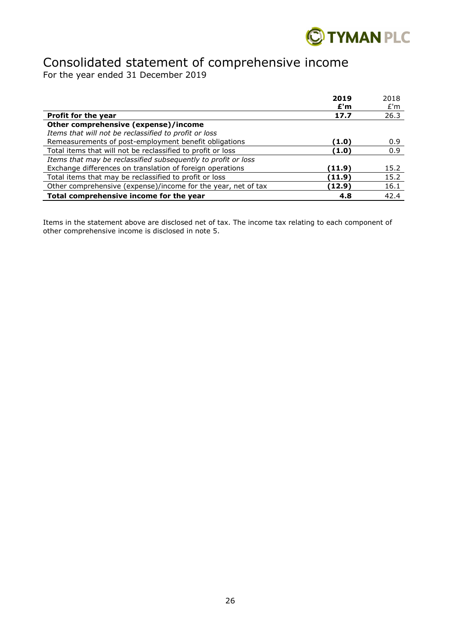

# Consolidated statement of comprehensive income

For the year ended 31 December 2019

|                                                               | 2019   | 2018 |
|---------------------------------------------------------------|--------|------|
|                                                               | E'm    | E'm  |
| Profit for the year                                           | 17.7   | 26.3 |
| Other comprehensive (expense)/income                          |        |      |
| Items that will not be reclassified to profit or loss         |        |      |
| Remeasurements of post-employment benefit obligations         | (1.0)  | 0.9  |
| Total items that will not be reclassified to profit or loss   | (1.0)  | 0.9  |
| Items that may be reclassified subsequently to profit or loss |        |      |
| Exchange differences on translation of foreign operations     | (11.9) | 15.2 |
| Total items that may be reclassified to profit or loss        | (11.9) | 15.2 |
| Other comprehensive (expense)/income for the year, net of tax | (12.9) | 16.1 |
| Total comprehensive income for the year                       | 4.8    | 42.4 |

Items in the statement above are disclosed net of tax. The income tax relating to each component of other comprehensive income is disclosed in note 5.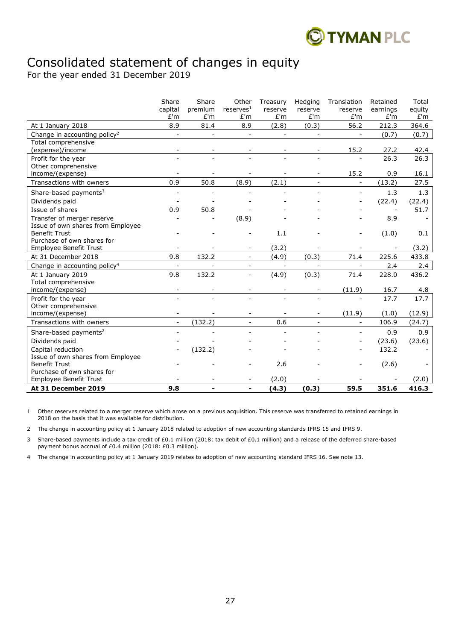

# Consolidated statement of changes in equity

For the year ended 31 December 2019

|                                                             | Share<br>capital         | Share<br>premium | Other<br>reserves <sup>1</sup> | Treasury<br>reserve      | Hedging<br>reserve       | Translation<br>reserve   | Retained<br>earnings     | Total<br>equity |
|-------------------------------------------------------------|--------------------------|------------------|--------------------------------|--------------------------|--------------------------|--------------------------|--------------------------|-----------------|
|                                                             | E'm                      | E'm              | E'm                            | E'm                      | E'm                      | E'm                      | E'm                      | E'm             |
| At 1 January 2018                                           | 8.9                      | 81.4             | 8.9                            | (2.8)                    | (0.3)                    | 56.2                     | 212.3                    | 364.6           |
| Change in accounting policy <sup>2</sup>                    | $\equiv$                 | $\mathbf{r}$     | $\equiv$                       | $\equiv$                 | $\blacksquare$           | $\overline{a}$           | (0.7)                    | (0.7)           |
| Total comprehensive                                         |                          |                  |                                |                          |                          |                          |                          |                 |
| (expense)/income                                            |                          |                  |                                |                          |                          | 15.2                     | 27.2                     | 42.4            |
| Profit for the year                                         |                          |                  | $\sim$                         |                          |                          | $\overline{a}$           | 26.3                     | 26.3            |
| Other comprehensive                                         |                          |                  |                                |                          |                          |                          |                          |                 |
| income/(expense)                                            |                          |                  |                                |                          |                          | 15.2                     | 0.9                      | 16.1            |
| Transactions with owners                                    | 0.9                      | 50.8             | (8.9)                          | (2.1)                    | $\overline{\phantom{0}}$ | $\blacksquare$           | (13.2)                   | 27.5            |
| Share-based payments <sup>3</sup>                           |                          |                  |                                |                          |                          |                          | 1.3                      | 1.3             |
| Dividends paid                                              |                          |                  |                                |                          |                          |                          | (22.4)                   | (22.4)          |
| Issue of shares                                             | 0.9                      | 50.8             |                                |                          |                          |                          | $\overline{\phantom{a}}$ | 51.7            |
| Transfer of merger reserve                                  |                          |                  | (8.9)                          |                          |                          |                          | 8.9                      |                 |
| Issue of own shares from Employee                           |                          |                  |                                |                          |                          |                          |                          |                 |
| <b>Benefit Trust</b><br>Purchase of own shares for          |                          |                  |                                | 1.1                      |                          | $\overline{a}$           | (1.0)                    | 0.1             |
| Employee Benefit Trust                                      |                          |                  |                                | (3.2)                    |                          |                          |                          | (3.2)           |
| At 31 December 2018                                         | 9.8                      | 132.2            | $\blacksquare$                 | (4.9)                    | (0.3)                    | 71.4                     | 225.6                    | 433.8           |
| Change in accounting policy <sup>4</sup>                    | $\blacksquare$           |                  | $\blacksquare$                 | $\overline{\phantom{a}}$ | $\sim$                   | $\overline{\phantom{a}}$ | 2.4                      | 2.4             |
| At 1 January 2019                                           | 9.8                      | 132.2            | $\blacksquare$                 | (4.9)                    | (0.3)                    | 71.4                     | 228.0                    | 436.2           |
| Total comprehensive                                         |                          |                  |                                |                          |                          |                          |                          |                 |
| income/(expense)                                            | $\overline{\phantom{a}}$ |                  |                                |                          | $\blacksquare$           | (11.9)                   | 16.7                     | 4.8             |
| Profit for the year                                         | ٠                        | $\blacksquare$   | $\blacksquare$                 | $\blacksquare$           | $\overline{\phantom{0}}$ | L.                       | 17.7                     | 17.7            |
| Other comprehensive                                         |                          |                  |                                |                          |                          |                          |                          |                 |
| income/(expense)                                            |                          |                  |                                |                          | -                        | (11.9)                   | (1.0)                    | (12.9)          |
| Transactions with owners                                    | $\overline{a}$           | (132.2)          | $\mathbf{r}$                   | 0.6                      | ٠                        | $\overline{\phantom{0}}$ | 106.9                    | (24.7)          |
| Share-based payments <sup>2</sup>                           |                          |                  |                                |                          |                          | ٠                        | 0.9                      | 0.9             |
| Dividends paid                                              |                          |                  |                                |                          |                          | $\overline{a}$           | (23.6)                   | (23.6)          |
| Capital reduction                                           |                          | (132.2)          |                                |                          |                          |                          | 132.2                    |                 |
| Issue of own shares from Employee                           |                          |                  |                                |                          |                          |                          |                          |                 |
| <b>Benefit Trust</b>                                        |                          |                  |                                | 2.6                      |                          | $\overline{a}$           | (2.6)                    |                 |
| Purchase of own shares for<br><b>Employee Benefit Trust</b> |                          |                  |                                | (2.0)                    |                          |                          |                          | (2.0)           |
| At 31 December 2019                                         | 9.8                      |                  |                                | (4.3)                    | (0.3)                    | 59.5                     | 351.6                    | 416.3           |
|                                                             |                          |                  |                                |                          |                          |                          |                          |                 |

1 Other reserves related to a merger reserve which arose on a previous acquisition. This reserve was transferred to retained earnings in 2018 on the basis that it was available for distribution.

2 The change in accounting policy at 1 January 2018 related to adoption of new accounting standards IFRS 15 and IFRS 9.

3 Share-based payments include a tax credit of £0.1 million (2018: tax debit of £0.1 million) and a release of the deferred share-based payment bonus accrual of £0.4 million (2018: £0.3 million).

4 The change in accounting policy at 1 January 2019 relates to adoption of new accounting standard IFRS 16. See note 13.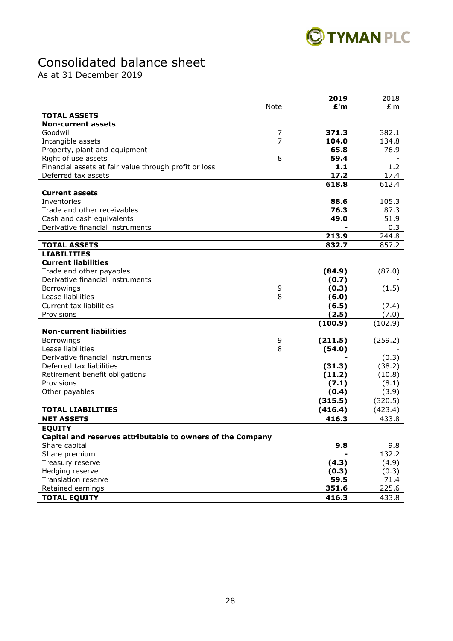

# Consolidated balance sheet

As at 31 December 2019

|                                                            |      | 2019          | 2018          |
|------------------------------------------------------------|------|---------------|---------------|
|                                                            | Note | E'm           | £'m           |
| <b>TOTAL ASSETS</b>                                        |      |               |               |
| <b>Non-current assets</b>                                  |      |               |               |
| Goodwill                                                   | 7    | 371.3         | 382.1         |
| Intangible assets                                          | 7    | 104.0         | 134.8         |
| Property, plant and equipment                              |      | 65.8          | 76.9          |
| Right of use assets                                        | 8    | 59.4          |               |
| Financial assets at fair value through profit or loss      |      | 1.1           | 1.2           |
| Deferred tax assets                                        |      | 17.2          | 17.4          |
|                                                            |      | 618.8         | 612.4         |
| <b>Current assets</b>                                      |      |               |               |
| Inventories                                                |      | 88.6          | 105.3         |
| Trade and other receivables                                |      | 76.3          | 87.3          |
| Cash and cash equivalents                                  |      | 49.0          | 51.9          |
| Derivative financial instruments                           |      |               | 0.3           |
|                                                            |      | 213.9         | 244.8         |
| <b>TOTAL ASSETS</b>                                        |      | 832.7         | 857.2         |
| <b>LIABILITIES</b>                                         |      |               |               |
| <b>Current liabilities</b>                                 |      |               |               |
| Trade and other payables                                   |      | (84.9)        | (87.0)        |
| Derivative financial instruments                           |      | (0.7)         |               |
| Borrowings                                                 | 9    | (0.3)         | (1.5)         |
| Lease liabilities                                          | 8    | (6.0)         |               |
| Current tax liabilities                                    |      | (6.5)         | (7.4)         |
| Provisions                                                 |      | (2.5)         | (7.0)         |
|                                                            |      | (100.9)       | (102.9)       |
| <b>Non-current liabilities</b>                             |      |               |               |
| Borrowings                                                 | 9    | (211.5)       | (259.2)       |
| Lease liabilities                                          | 8    | (54.0)        |               |
| Derivative financial instruments                           |      |               | (0.3)         |
| Deferred tax liabilities                                   |      | (31.3)        | (38.2)        |
| Retirement benefit obligations                             |      | (11.2)        | (10.8)        |
| Provisions                                                 |      | (7.1)         | (8.1)         |
| Other payables                                             |      | (0.4)         | (3.9)         |
|                                                            |      | (315.5)       | (320.5)       |
| <b>TOTAL LIABILITIES</b>                                   |      | (416.4)       | (423.4)       |
| <b>NET ASSETS</b>                                          |      | 416.3         | 433.8         |
| <b>EQUITY</b>                                              |      |               |               |
| Capital and reserves attributable to owners of the Company |      |               |               |
|                                                            |      | 9.8           | 9.8           |
| Share capital<br>Share premium                             |      |               | 132.2         |
| Treasury reserve                                           |      |               |               |
| Hedging reserve                                            |      | (4.3)         | (4.9)         |
| Translation reserve                                        |      | (0.3)<br>59.5 | (0.3)<br>71.4 |
|                                                            |      |               |               |
| Retained earnings                                          |      | 351.6         | 225.6         |
| <b>TOTAL EQUITY</b>                                        |      | 416.3         | 433.8         |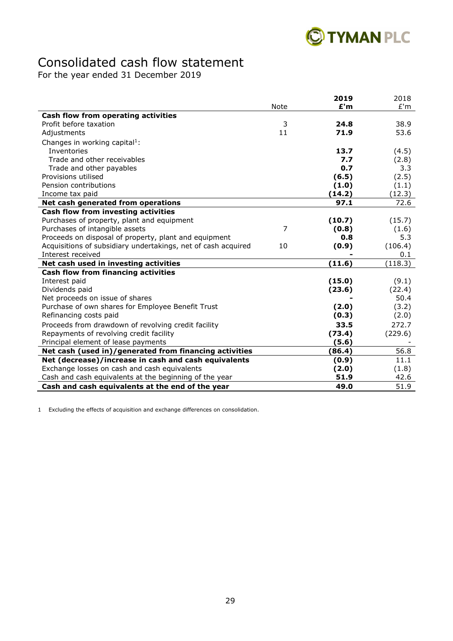

# Consolidated cash flow statement

For the year ended 31 December 2019

|                                                               |      | 2019   | 2018    |
|---------------------------------------------------------------|------|--------|---------|
|                                                               | Note | E'm    | E'm     |
| Cash flow from operating activities                           |      |        |         |
| Profit before taxation                                        | 3    | 24.8   | 38.9    |
| Adjustments                                                   | 11   | 71.9   | 53.6    |
| Changes in working capital <sup>1</sup> :                     |      |        |         |
| Inventories                                                   |      | 13.7   | (4.5)   |
| Trade and other receivables                                   |      | 7.7    | (2.8)   |
| Trade and other payables                                      |      | 0.7    | 3.3     |
| Provisions utilised                                           |      | (6.5)  | (2.5)   |
| Pension contributions                                         |      | (1.0)  | (1.1)   |
| Income tax paid                                               |      | (14.2) | (12.3)  |
| Net cash generated from operations                            |      | 97.1   | 72.6    |
| Cash flow from investing activities                           |      |        |         |
| Purchases of property, plant and equipment                    |      | (10.7) | (15.7)  |
| Purchases of intangible assets                                | 7    | (0.8)  | (1.6)   |
| Proceeds on disposal of property, plant and equipment         |      | 0.8    | 5.3     |
| Acquisitions of subsidiary undertakings, net of cash acquired | 10   | (0.9)  | (106.4) |
| Interest received                                             |      |        | 0.1     |
| Net cash used in investing activities                         |      | (11.6) | (118.3) |
| Cash flow from financing activities                           |      |        |         |
| Interest paid                                                 |      | (15.0) | (9.1)   |
| Dividends paid                                                |      | (23.6) | (22.4)  |
| Net proceeds on issue of shares                               |      |        | 50.4    |
| Purchase of own shares for Employee Benefit Trust             |      | (2.0)  | (3.2)   |
| Refinancing costs paid                                        |      | (0.3)  | (2.0)   |
| Proceeds from drawdown of revolving credit facility           |      | 33.5   | 272.7   |
| Repayments of revolving credit facility                       |      | (73.4) | (229.6) |
| Principal element of lease payments                           |      | (5.6)  |         |
| Net cash (used in)/generated from financing activities        |      | (86.4) | 56.8    |
| Net (decrease)/increase in cash and cash equivalents          |      | (0.9)  | 11.1    |
| Exchange losses on cash and cash equivalents                  |      | (2.0)  | (1.8)   |
| Cash and cash equivalents at the beginning of the year        |      | 51.9   | 42.6    |
| Cash and cash equivalents at the end of the year              |      | 49.0   | 51.9    |

1 Excluding the effects of acquisition and exchange differences on consolidation.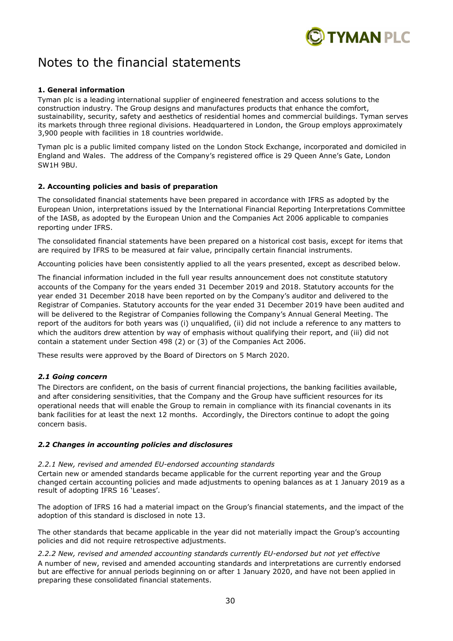

# Notes to the financial statements

### **1. General information**

Tyman plc is a leading international supplier of engineered fenestration and access solutions to the construction industry. The Group designs and manufactures products that enhance the comfort, sustainability, security, safety and aesthetics of residential homes and commercial buildings. Tyman serves its markets through three regional divisions. Headquartered in London, the Group employs approximately 3,900 people with facilities in 18 countries worldwide.

Tyman plc is a public limited company listed on the London Stock Exchange, incorporated and domiciled in England and Wales. The address of the Company's registered office is 29 Queen Anne's Gate, London SW1H 9BU.

### **2. Accounting policies and basis of preparation**

The consolidated financial statements have been prepared in accordance with IFRS as adopted by the European Union, interpretations issued by the International Financial Reporting Interpretations Committee of the IASB, as adopted by the European Union and the Companies Act 2006 applicable to companies reporting under IFRS.

The consolidated financial statements have been prepared on a historical cost basis, except for items that are required by IFRS to be measured at fair value, principally certain financial instruments.

Accounting policies have been consistently applied to all the years presented, except as described below.

The financial information included in the full year results announcement does not constitute statutory accounts of the Company for the years ended 31 December 2019 and 2018. Statutory accounts for the year ended 31 December 2018 have been reported on by the Company's auditor and delivered to the Registrar of Companies. Statutory accounts for the year ended 31 December 2019 have been audited and will be delivered to the Registrar of Companies following the Company's Annual General Meeting. The report of the auditors for both years was (i) unqualified, (ii) did not include a reference to any matters to which the auditors drew attention by way of emphasis without qualifying their report, and (iii) did not contain a statement under Section 498 (2) or (3) of the Companies Act 2006.

These results were approved by the Board of Directors on 5 March 2020.

### *2.1 Going concern*

The Directors are confident, on the basis of current financial projections, the banking facilities available, and after considering sensitivities, that the Company and the Group have sufficient resources for its operational needs that will enable the Group to remain in compliance with its financial covenants in its bank facilities for at least the next 12 months. Accordingly, the Directors continue to adopt the going concern basis.

### *2.2 Changes in accounting policies and disclosures*

### *2.2.1 New, revised and amended EU-endorsed accounting standards*

Certain new or amended standards became applicable for the current reporting year and the Group changed certain accounting policies and made adjustments to opening balances as at 1 January 2019 as a result of adopting IFRS 16 'Leases'.

The adoption of IFRS 16 had a material impact on the Group's financial statements, and the impact of the adoption of this standard is disclosed in note 13.

The other standards that became applicable in the year did not materially impact the Group's accounting policies and did not require retrospective adjustments.

*2.2.2 New, revised and amended accounting standards currently EU-endorsed but not yet effective* A number of new, revised and amended accounting standards and interpretations are currently endorsed but are effective for annual periods beginning on or after 1 January 2020, and have not been applied in preparing these consolidated financial statements.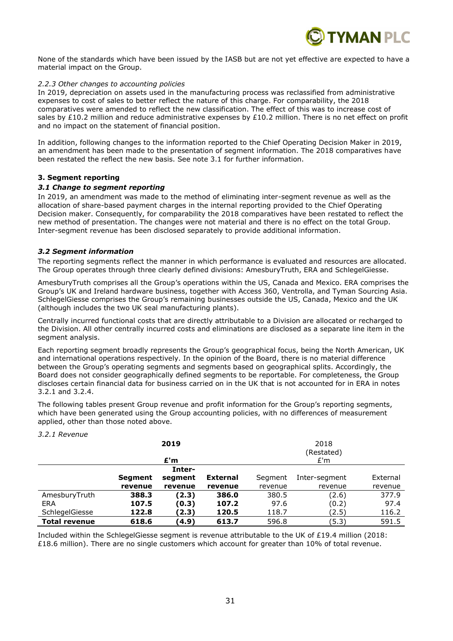

None of the standards which have been issued by the IASB but are not yet effective are expected to have a material impact on the Group.

#### *2.2.3 Other changes to accounting policies*

In 2019, depreciation on assets used in the manufacturing process was reclassified from administrative expenses to cost of sales to better reflect the nature of this charge. For comparability, the 2018 comparatives were amended to reflect the new classification. The effect of this was to increase cost of sales by £10.2 million and reduce administrative expenses by £10.2 million. There is no net effect on profit and no impact on the statement of financial position.

In addition, following changes to the information reported to the Chief Operating Decision Maker in 2019, an amendment has been made to the presentation of segment information. The 2018 comparatives have been restated the reflect the new basis. See note 3.1 for further information.

#### **3. Segment reporting**

#### *3.1 Change to segment reporting*

In 2019, an amendment was made to the method of eliminating inter-segment revenue as well as the allocation of share-based payment charges in the internal reporting provided to the Chief Operating Decision maker. Consequently, for comparability the 2018 comparatives have been restated to reflect the new method of presentation. The changes were not material and there is no effect on the total Group. Inter-segment revenue has been disclosed separately to provide additional information.

#### *3.2 Segment information*

The reporting segments reflect the manner in which performance is evaluated and resources are allocated. The Group operates through three clearly defined divisions: AmesburyTruth, ERA and SchlegelGiesse.

AmesburyTruth comprises all the Group's operations within the US, Canada and Mexico. ERA comprises the Group's UK and Ireland hardware business, together with Access 360, Ventrolla, and Tyman Sourcing Asia. SchlegelGiesse comprises the Group's remaining businesses outside the US, Canada, Mexico and the UK (although includes the two UK seal manufacturing plants).

Centrally incurred functional costs that are directly attributable to a Division are allocated or recharged to the Division. All other centrally incurred costs and eliminations are disclosed as a separate line item in the segment analysis.

Each reporting segment broadly represents the Group's geographical focus, being the North American, UK and international operations respectively. In the opinion of the Board, there is no material difference between the Group's operating segments and segments based on geographical splits. Accordingly, the Board does not consider geographically defined segments to be reportable. For completeness, the Group discloses certain financial data for business carried on in the UK that is not accounted for in ERA in notes 3.2.1 and 3.2.4.

The following tables present Group revenue and profit information for the Group's reporting segments, which have been generated using the Group accounting policies, with no differences of measurement applied, other than those noted above.

|                      |                | 2019    |                 |         | 2018<br>(Restated) |          |
|----------------------|----------------|---------|-----------------|---------|--------------------|----------|
|                      |                | £'m     |                 | E'm     |                    |          |
|                      |                | Inter-  |                 |         |                    |          |
|                      | <b>Segment</b> | segment | <b>External</b> | Segment | Inter-segment      | External |
|                      | revenue        | revenue | revenue         | revenue | revenue            | revenue  |
| AmesburyTruth        | 388.3          | (2.3)   | 386.0           | 380.5   | (2.6)              | 377.9    |
| ERA                  | 107.5          | (0.3)   | 107.2           | 97.6    | (0.2)              | 97.4     |
| SchlegelGiesse       | 122.8          | (2.3)   | 120.5           | 118.7   | (2.5)              | 116.2    |
| <b>Total revenue</b> | 618.6          | (4.9)   | 613.7           | 596.8   | (5.3)              | 591.5    |

#### *3.2.1 Revenue*

Included within the SchlegelGiesse segment is revenue attributable to the UK of £19.4 million (2018: £18.6 million). There are no single customers which account for greater than 10% of total revenue.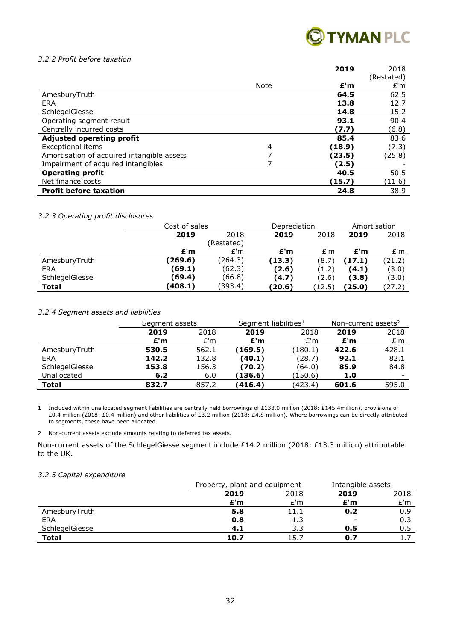

#### *3.2.2 Profit before taxation*

|                                            |      | 2019   | 2018<br>(Restated) |
|--------------------------------------------|------|--------|--------------------|
|                                            | Note | E'm    | E'm                |
| AmesburyTruth                              |      | 64.5   | 62.5               |
| ERA                                        |      | 13.8   | 12.7               |
| SchlegelGiesse                             |      | 14.8   | 15.2               |
| Operating segment result                   |      | 93.1   | 90.4               |
| Centrally incurred costs                   |      | (7.7)  | (6.8)              |
| <b>Adjusted operating profit</b>           |      | 85.4   | 83.6               |
| <b>Exceptional items</b>                   | 4    | (18.9) | (7.3)              |
| Amortisation of acquired intangible assets | 7    | (23.5) | (25.8)             |
| Impairment of acquired intangibles         |      | (2.5)  |                    |
| <b>Operating profit</b>                    |      | 40.5   | 50.5               |
| Net finance costs                          |      | (15.7) | (11.6)             |
| <b>Profit before taxation</b>              |      | 24.8   | 38.9               |

#### *3.2.3 Operating profit disclosures*

|                | Cost of sales |            | Depreciation |        | Amortisation |        |
|----------------|---------------|------------|--------------|--------|--------------|--------|
|                | 2019          | 2018       |              | 2018   | 2019         | 2018   |
|                |               | (Restated) |              |        |              |        |
|                | £'m           | E'm        | £'m          | E'm    | £'m          | E'm    |
| AmesburyTruth  | (269.6)       | (264.3)    | (13.3)       | (8.7)  | (17.1)       | (21.2) |
| <b>ERA</b>     | (69.1)        | (62.3)     | (2.6)        | (1.2)  | (4.1)        | (3.0)  |
| SchlegelGiesse | (69.4)        | (66.8)     | (4.7)        | (2.6)  | (3.8)        | (3.0)  |
| <b>Total</b>   | (408.1)       | (393.4)    | (20.6)       | (12.5) | (25.0)       | (27.2) |

#### *3.2.4 Segment assets and liabilities*

|                | Segment assets |       | Segment liabilities <sup>1</sup> |         | Non-current assets <sup>2</sup> |       |
|----------------|----------------|-------|----------------------------------|---------|---------------------------------|-------|
|                | 2019           | 2018  | 2019                             | 2018    | 2019                            | 2018  |
|                | £'m            | E'm   | £'m                              | E'm     | £'m                             | E'm   |
| AmesburyTruth  | 530.5          | 562.1 | (169.5)                          | (180.1) | 422.6                           | 428.1 |
| ERA            | 142.2          | 132.8 | (40.1)                           | (28.7)  | 92.1                            | 82.1  |
| SchlegelGiesse | 153.8          | 156.3 | (70.2)                           | (64.0)  | 85.9                            | 84.8  |
| Unallocated    | 6.2            | 6.0   | (136.6)                          | (150.6) | 1.0                             |       |
| Total          | 832.7          | 857.2 | (416.4)                          | (423.4) | 601.6                           | 595.0 |

1 Included within unallocated segment liabilities are centrally held borrowings of £133.0 million (2018: £145.4million), provisions of £0.4 million (2018: £0.4 million) and other liabilities of £3.2 million (2018: £4.8 million). Where borrowings can be directly attributed to segments, these have been allocated.

2 Non-current assets exclude amounts relating to deferred tax assets.

Non-current assets of the SchlegelGiesse segment include £14.2 million (2018: £13.3 million) attributable to the UK.

#### *3.2.5 Capital expenditure*

|                | Property, plant and equipment |      | Intangible assets |           |
|----------------|-------------------------------|------|-------------------|-----------|
|                | 2018<br>2019                  |      | 2019              | 2018      |
|                | £'m                           | £'m  | £'m               | E'm       |
| AmesburyTruth  | 5.8                           | 11.1 | 0.2               | 0.9       |
| ERA            | 0.8                           | 1.3  | $\blacksquare$    | 0.3       |
| SchlegelGiesse | 4.1                           | 3.3  | 0.5               | 0.5       |
| <b>Total</b>   | 10.7                          | 15.  | 0.7               | <b>L.</b> |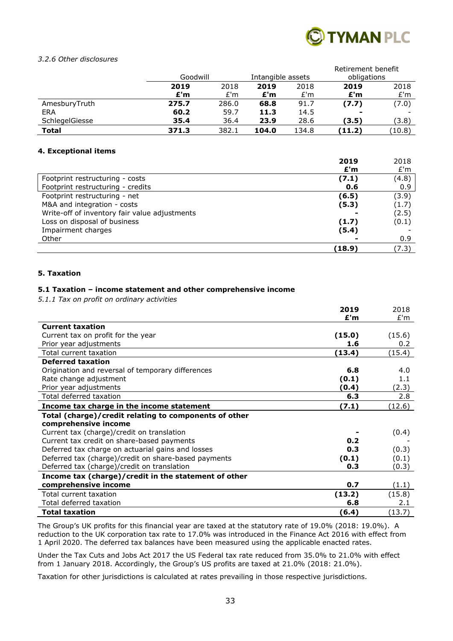

#### *3.2.6 Other disclosures*

|                |          |       |                   |       | Retirement benefit |        |
|----------------|----------|-------|-------------------|-------|--------------------|--------|
|                | Goodwill |       | Intangible assets |       | obligations        |        |
|                | 2019     | 2018  | 2019              | 2018  | 2019               | 2018   |
|                | £'m      | E'm   | £'m               | E'm   | £'m                | E'm    |
| AmesburyTruth  | 275.7    | 286.0 | 68.8              | 91.7  | (7.7)              | (7.0)  |
| <b>ERA</b>     | 60.2     | 59.7  | 11.3              | 14.5  |                    |        |
| SchlegelGiesse | 35.4     | 36.4  | 23.9              | 28.6  | (3.5)              | (3.8)  |
| Total          | 371.3    | 382.1 | 104.0             | 134.8 | (11.2)             | (10.8) |

#### **4. Exceptional items**

|                                               | 2019   | 2018  |
|-----------------------------------------------|--------|-------|
|                                               | £'m    | E'm   |
| Footprint restructuring - costs               | (7.1)  | (4.8) |
| Footprint restructuring - credits             | 0.6    | 0.9   |
| Footprint restructuring - net                 | (6.5)  | (3.9) |
| M&A and integration - costs                   | (5.3)  | (1.7) |
| Write-off of inventory fair value adjustments |        | (2.5) |
| Loss on disposal of business                  | (1.7)  | (0.1) |
| Impairment charges                            | (5.4)  |       |
| Other                                         |        | 0.9   |
|                                               | (18.9) | (7.3) |

#### **5. Taxation**

#### **5.1 Taxation – income statement and other comprehensive income**

*5.1.1 Tax on profit on ordinary activities* 

|                                                       | 2019   | 2018   |
|-------------------------------------------------------|--------|--------|
|                                                       | E'm    | E'm    |
| <b>Current taxation</b>                               |        |        |
| Current tax on profit for the year                    | (15.0) | (15.6) |
| Prior year adjustments                                | 1.6    | 0.2    |
| Total current taxation                                | (13.4) | (15.4) |
| <b>Deferred taxation</b>                              |        |        |
| Origination and reversal of temporary differences     | 6.8    | 4.0    |
| Rate change adjustment                                | (0.1)  | 1.1    |
| Prior year adjustments                                | (0.4)  | (2.3)  |
| Total deferred taxation                               | 6.3    | 2.8    |
| Income tax charge in the income statement             | (7.1)  | (12.6) |
| Total (charge)/credit relating to components of other |        |        |
| comprehensive income                                  |        |        |
| Current tax (charge)/credit on translation            |        | (0.4)  |
| Current tax credit on share-based payments            | 0.2    |        |
| Deferred tax charge on actuarial gains and losses     | 0.3    | (0.3)  |
| Deferred tax (charge)/credit on share-based payments  | (0.1)  | (0.1)  |
| Deferred tax (charge)/credit on translation           | 0.3    | (0.3)  |
| Income tax (charge)/credit in the statement of other  |        |        |
| comprehensive income                                  | 0.7    | (1.1)  |
| Total current taxation                                | (13.2) | (15.8) |
| Total deferred taxation                               | 6.8    | 2.1    |
| <b>Total taxation</b>                                 | (6.4)  | (13.7) |

The Group's UK profits for this financial year are taxed at the statutory rate of 19.0% (2018: 19.0%). A reduction to the UK corporation tax rate to 17.0% was introduced in the Finance Act 2016 with effect from 1 April 2020. The deferred tax balances have been measured using the applicable enacted rates.

Under the Tax Cuts and Jobs Act 2017 the US Federal tax rate reduced from 35.0% to 21.0% with effect from 1 January 2018. Accordingly, the Group's US profits are taxed at 21.0% (2018: 21.0%).

Taxation for other jurisdictions is calculated at rates prevailing in those respective jurisdictions.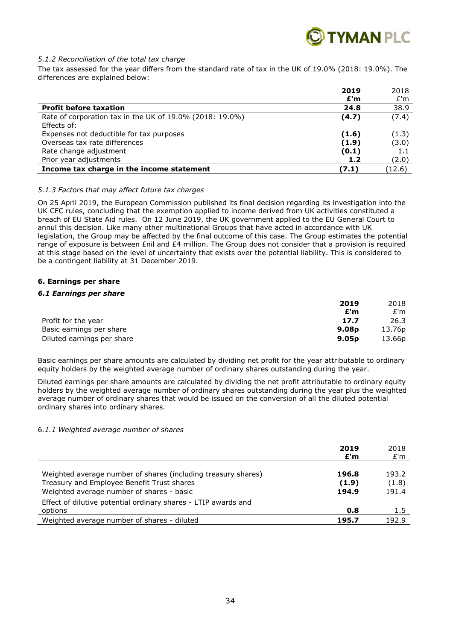

#### *5.1.2 Reconciliation of the total tax charge*

The tax assessed for the year differs from the standard rate of tax in the UK of 19.0% (2018: 19.0%). The differences are explained below:

|                                                          | 2019  | 2018   |
|----------------------------------------------------------|-------|--------|
|                                                          | £'m   | E'm    |
| <b>Profit before taxation</b>                            | 24.8  | 38.9   |
| Rate of corporation tax in the UK of 19.0% (2018: 19.0%) | (4.7) | (7.4)  |
| Effects of:                                              |       |        |
| Expenses not deductible for tax purposes                 | (1.6) | (1.3)  |
| Overseas tax rate differences                            | (1.9) | (3.0)  |
| Rate change adjustment                                   | (0.1) | 1.1    |
| Prior year adjustments                                   | 1.2   | (2.0)  |
| Income tax charge in the income statement                | (7.1) | (12.6) |

#### *5.1.3 Factors that may affect future tax charges*

On 25 April 2019, the European Commission published its final decision regarding its investigation into the UK CFC rules, concluding that the exemption applied to income derived from UK activities constituted a breach of EU State Aid rules. On 12 June 2019, the UK government applied to the EU General Court to annul this decision. Like many other multinational Groups that have acted in accordance with UK legislation, the Group may be affected by the final outcome of this case. The Group estimates the potential range of exposure is between £nil and £4 million. The Group does not consider that a provision is required at this stage based on the level of uncertainty that exists over the potential liability. This is considered to be a contingent liability at 31 December 2019.

#### **6. Earnings per share**

#### *6.1 Earnings per share*

|                            | 2019              | 2018   |
|----------------------------|-------------------|--------|
|                            | £'m               | E'm    |
| Profit for the year        | 17.7              | 26.3   |
| Basic earnings per share   | 9.08 <sub>p</sub> | 13.76p |
| Diluted earnings per share | 9.05 <sub>p</sub> | 13.66p |

Basic earnings per share amounts are calculated by dividing net profit for the year attributable to ordinary equity holders by the weighted average number of ordinary shares outstanding during the year.

Diluted earnings per share amounts are calculated by dividing the net profit attributable to ordinary equity holders by the weighted average number of ordinary shares outstanding during the year plus the weighted average number of ordinary shares that would be issued on the conversion of all the diluted potential ordinary shares into ordinary shares.

#### 6*.1.1 Weighted average number of shares*

|                                                                                                             | 2019<br>E'm    | 2018<br>E'm    |
|-------------------------------------------------------------------------------------------------------------|----------------|----------------|
| Weighted average number of shares (including treasury shares)<br>Treasury and Employee Benefit Trust shares | 196.8<br>(1.9) | 193.2<br>(1.8) |
| Weighted average number of shares - basic                                                                   | 194.9          | 191.4          |
| Effect of dilutive potential ordinary shares - LTIP awards and<br>options                                   | 0.8            | 1.5            |
| Weighted average number of shares - diluted                                                                 | 195.7          | 192.9          |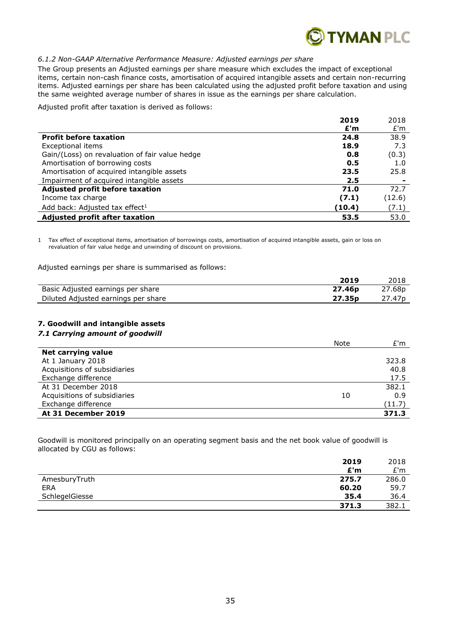

#### *6.1.2 Non-GAAP Alternative Performance Measure: Adjusted earnings per share*

The Group presents an Adjusted earnings per share measure which excludes the impact of exceptional items, certain non-cash finance costs, amortisation of acquired intangible assets and certain non-recurring items. Adjusted earnings per share has been calculated using the adjusted profit before taxation and using the same weighted average number of shares in issue as the earnings per share calculation.

Adjusted profit after taxation is derived as follows:

|                                                | 2019   | 2018   |
|------------------------------------------------|--------|--------|
|                                                | £'m    | E'm    |
| <b>Profit before taxation</b>                  | 24.8   | 38.9   |
| Exceptional items                              | 18.9   | 7.3    |
| Gain/(Loss) on revaluation of fair value hedge | 0.8    | (0.3)  |
| Amortisation of borrowing costs                | 0.5    | 1.0    |
| Amortisation of acquired intangible assets     | 23.5   | 25.8   |
| Impairment of acquired intangible assets       | 2.5    |        |
| Adjusted profit before taxation                | 71.0   | 72.7   |
| Income tax charge                              | (7.1)  | (12.6) |
| Add back: Adjusted tax effect <sup>1</sup>     | (10.4) | (7.1)  |
| <b>Adjusted profit after taxation</b>          | 53.5   | 53.0   |

1 Tax effect of exceptional items, amortisation of borrowings costs, amortisation of acquired intangible assets, gain or loss on revaluation of fair value hedge and unwinding of discount on provisions.

Adjusted earnings per share is summarised as follows:

|                                     | 2019               | 2018               |
|-------------------------------------|--------------------|--------------------|
| Basic Adjusted earnings per share   | 27.46 <sub>p</sub> | 27.68p             |
| Diluted Adjusted earnings per share | 27.35 <sub>p</sub> | 27.47 <sub>p</sub> |

### **7. Goodwill and intangible assets**

#### *7.1 Carrying amount of goodwill*

|                              | Note | E'm    |
|------------------------------|------|--------|
| Net carrying value           |      |        |
| At 1 January 2018            |      | 323.8  |
| Acquisitions of subsidiaries |      | 40.8   |
| Exchange difference          |      | 17.5   |
| At 31 December 2018          |      | 382.1  |
| Acquisitions of subsidiaries | 10   | 0.9    |
| Exchange difference          |      | (11.7) |
| At 31 December 2019          |      | 371.3  |

Goodwill is monitored principally on an operating segment basis and the net book value of goodwill is allocated by CGU as follows:

|                | 2019  | 2018  |
|----------------|-------|-------|
|                | E'm   | E'm   |
| AmesburyTruth  | 275.7 | 286.0 |
| <b>ERA</b>     | 60.20 | 59.7  |
| SchlegelGiesse | 35.4  | 36.4  |
|                | 371.3 | 382.1 |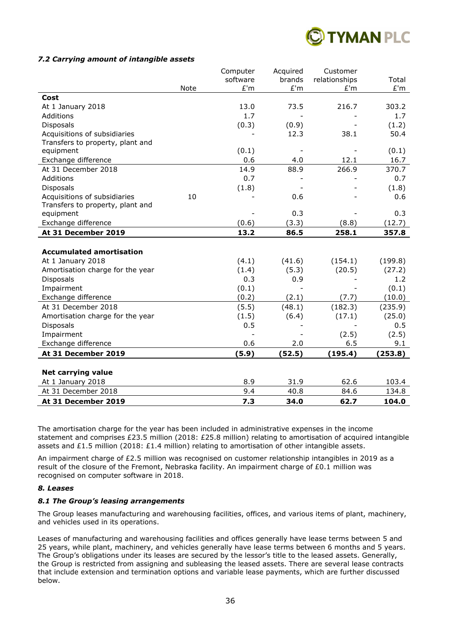

#### *7.2 Carrying amount of intangible assets*

|                                  |      | Computer | Acquired | Customer      |         |
|----------------------------------|------|----------|----------|---------------|---------|
|                                  |      | software | brands   | relationships | Total   |
|                                  | Note | E'm      | £'m      | E'm           | £'m     |
| Cost                             |      |          |          |               |         |
| At 1 January 2018                |      | 13.0     | 73.5     | 216.7         | 303.2   |
| Additions                        |      | 1.7      |          |               | 1.7     |
| <b>Disposals</b>                 |      | (0.3)    | (0.9)    |               | (1.2)   |
| Acquisitions of subsidiaries     |      |          | 12.3     | 38.1          | 50.4    |
| Transfers to property, plant and |      |          |          |               |         |
| equipment                        |      | (0.1)    |          |               | (0.1)   |
| Exchange difference              |      | 0.6      | 4.0      | 12.1          | 16.7    |
| At 31 December 2018              |      | 14.9     | 88.9     | 266.9         | 370.7   |
| Additions                        |      | 0.7      |          |               | 0.7     |
| <b>Disposals</b>                 |      | (1.8)    |          |               | (1.8)   |
| Acquisitions of subsidiaries     | 10   |          | 0.6      |               | 0.6     |
| Transfers to property, plant and |      |          |          |               |         |
| equipment                        |      |          | 0.3      |               | 0.3     |
| Exchange difference              |      | (0.6)    | (3.3)    | (8.8)         | (12.7)  |
| At 31 December 2019              |      | 13.2     | 86.5     | 258.1         | 357.8   |
|                                  |      |          |          |               |         |
| <b>Accumulated amortisation</b>  |      |          |          |               |         |
| At 1 January 2018                |      | (4.1)    | (41.6)   | (154.1)       | (199.8) |
| Amortisation charge for the year |      | (1.4)    | (5.3)    | (20.5)        | (27.2)  |
| <b>Disposals</b>                 |      | 0.3      | 0.9      |               | 1.2     |
| Impairment                       |      | (0.1)    |          |               | (0.1)   |
| Exchange difference              |      | (0.2)    | (2.1)    | (7.7)         | (10.0)  |
| At 31 December 2018              |      | (5.5)    | (48.1)   | (182.3)       | (235.9) |
| Amortisation charge for the year |      | (1.5)    | (6.4)    | (17.1)        | (25.0)  |
| Disposals                        |      | 0.5      |          |               | 0.5     |
| Impairment                       |      |          |          | (2.5)         | (2.5)   |
| Exchange difference              |      | 0.6      | 2.0      | 6.5           | 9.1     |
| At 31 December 2019              |      | (5.9)    | (52.5)   | (195.4)       | (253.8) |
|                                  |      |          |          |               |         |
| <b>Net carrying value</b>        |      |          |          |               |         |
| At 1 January 2018                |      | 8.9      | 31.9     | 62.6          | 103.4   |
| At 31 December 2018              |      | 9.4      | 40.8     | 84.6          | 134.8   |
| At 31 December 2019              |      | 7.3      | 34.0     | 62.7          | 104.0   |

The amortisation charge for the year has been included in administrative expenses in the income statement and comprises £23.5 million (2018: £25.8 million) relating to amortisation of acquired intangible assets and £1.5 million (2018: £1.4 million) relating to amortisation of other intangible assets.

An impairment charge of £2.5 million was recognised on customer relationship intangibles in 2019 as a result of the closure of the Fremont, Nebraska facility. An impairment charge of £0.1 million was recognised on computer software in 2018.

#### *8. Leases*

#### *8.1 The Group's leasing arrangements*

The Group leases manufacturing and warehousing facilities, offices, and various items of plant, machinery, and vehicles used in its operations.

Leases of manufacturing and warehousing facilities and offices generally have lease terms between 5 and 25 years, while plant, machinery, and vehicles generally have lease terms between 6 months and 5 years. The Group's obligations under its leases are secured by the lessor's title to the leased assets. Generally, the Group is restricted from assigning and subleasing the leased assets. There are several lease contracts that include extension and termination options and variable lease payments, which are further discussed below.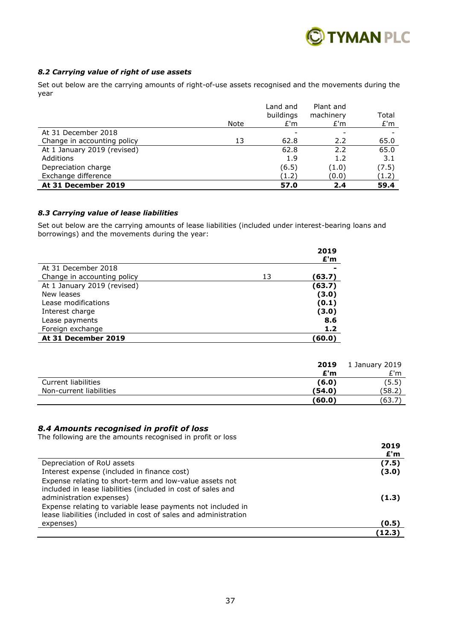

### *8.2 Carrying value of right of use assets*

Set out below are the carrying amounts of right-of-use assets recognised and the movements during the year

|                             |      | Land and<br>buildings | Plant and<br>machinery | Total |
|-----------------------------|------|-----------------------|------------------------|-------|
|                             | Note | E'm                   | E'm                    | E'm   |
| At 31 December 2018         |      |                       |                        |       |
| Change in accounting policy | 13   | 62.8                  | 2.2                    | 65.0  |
| At 1 January 2019 (revised) |      | 62.8                  | 2.2                    | 65.0  |
| Additions                   |      | 1.9                   | 1.2                    | 3.1   |
| Depreciation charge         |      | (6.5)                 | (1.0)                  | (7.5) |
| Exchange difference         |      | (1.2)                 | (0.0)                  | (1.2) |
| At 31 December 2019         |      | 57.0                  | 2.4                    | 59.4  |

#### *8.3 Carrying value of lease liabilities*

Set out below are the carrying amounts of lease liabilities (included under interest-bearing loans and borrowings) and the movements during the year:

|                             |    | 2019<br>E'm |
|-----------------------------|----|-------------|
| At 31 December 2018         |    |             |
| Change in accounting policy | 13 | (63.7)      |
| At 1 January 2019 (revised) |    | (63.7)      |
| New leases                  |    | (3.0)       |
| Lease modifications         |    | (0.1)       |
| Interest charge             |    | (3.0)       |
| Lease payments              |    | 8.6         |
| Foreign exchange            |    | 1.2         |
| At 31 December 2019         |    | (60.0)      |

|                         | 2019   | 1 January 2019 |
|-------------------------|--------|----------------|
|                         | £'m    | E'm            |
| Current liabilities     | (6.0)  | (5.5)          |
| Non-current liabilities | (54.0) | (58.2)         |
|                         | (60.0) | (63.7)         |

#### *8.4 Amounts recognised in profit of loss*

The following are the amounts recognised in profit or loss

|                                                                                                                                                                                                                                                                                       | 2019<br>E'm |
|---------------------------------------------------------------------------------------------------------------------------------------------------------------------------------------------------------------------------------------------------------------------------------------|-------------|
| Depreciation of RoU assets                                                                                                                                                                                                                                                            | (7.5)       |
| Interest expense (included in finance cost)                                                                                                                                                                                                                                           | (3.0)       |
| Expense relating to short-term and low-value assets not<br>included in lease liabilities (included in cost of sales and<br>administration expenses)<br>Expense relating to variable lease payments not included in<br>lease liabilities (included in cost of sales and administration | (1.3)       |
| expenses)                                                                                                                                                                                                                                                                             | (0.5)       |
|                                                                                                                                                                                                                                                                                       | (12.3)      |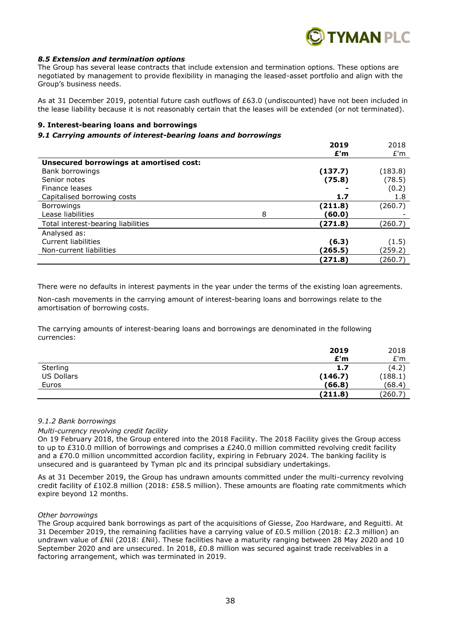

#### *8.5 Extension and termination options*

The Group has several lease contracts that include extension and termination options. These options are negotiated by management to provide flexibility in managing the leased-asset portfolio and align with the Group's business needs.

As at 31 December 2019, potential future cash outflows of £63.0 (undiscounted) have not been included in the lease liability because it is not reasonably certain that the leases will be extended (or not terminated).

#### **9. Interest-bearing loans and borrowings**

#### *9.1 Carrying amounts of interest-bearing loans and borrowings*

|                                         |   | 2019    | 2018    |
|-----------------------------------------|---|---------|---------|
|                                         |   | £'m     | E'm     |
| Unsecured borrowings at amortised cost: |   |         |         |
| Bank borrowings                         |   | (137.7) | (183.8) |
| Senior notes                            |   | (75.8)  | (78.5)  |
| Finance leases                          |   |         | (0.2)   |
| Capitalised borrowing costs             |   | 1.7     | 1.8     |
| <b>Borrowings</b>                       |   | (211.8) | (260.7) |
| Lease liabilities                       | 8 | (60.0   |         |
| Total interest-bearing liabilities      |   | (271.8) | (260.7) |
| Analysed as:                            |   |         |         |
| Current liabilities                     |   | (6.3)   | (1.5)   |
| Non-current liabilities                 |   | (265.5) | (259.2) |
|                                         |   | 【271.8】 | (260.7) |

There were no defaults in interest payments in the year under the terms of the existing loan agreements.

Non-cash movements in the carrying amount of interest-bearing loans and borrowings relate to the amortisation of borrowing costs.

The carrying amounts of interest-bearing loans and borrowings are denominated in the following currencies:

|                   | 2019    | 2018    |
|-------------------|---------|---------|
|                   | E'm     | E'm     |
| Sterling          | 1.7     | (4.2)   |
| <b>US Dollars</b> | (146.7) | (188.1) |
| Euros             | (66.8)  | (68.4)  |
|                   | (211.8) | (260.7) |

#### *9.1.2 Bank borrowings*

#### *Multi-currency revolving credit facility*

On 19 February 2018, the Group entered into the 2018 Facility. The 2018 Facility gives the Group access to up to £310.0 million of borrowings and comprises a £240.0 million committed revolving credit facility and a £70.0 million uncommitted accordion facility, expiring in February 2024. The banking facility is unsecured and is guaranteed by Tyman plc and its principal subsidiary undertakings.

As at 31 December 2019, the Group has undrawn amounts committed under the multi-currency revolving credit facility of £102.8 million (2018: £58.5 million). These amounts are floating rate commitments which expire beyond 12 months.

#### *Other borrowings*

The Group acquired bank borrowings as part of the acquisitions of Giesse, Zoo Hardware, and Reguitti. At 31 December 2019, the remaining facilities have a carrying value of £0.5 million (2018: £2.3 million) an undrawn value of £Nil (2018: £Nil). These facilities have a maturity ranging between 28 May 2020 and 10 September 2020 and are unsecured. In 2018, £0.8 million was secured against trade receivables in a factoring arrangement, which was terminated in 2019.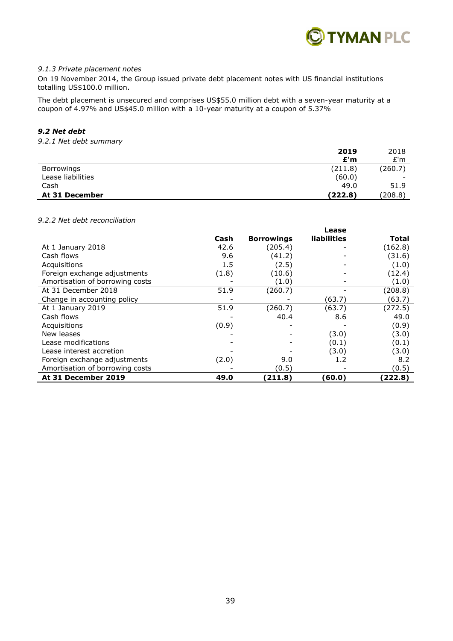

#### *9.1.3 Private placement notes*

On 19 November 2014, the Group issued private debt placement notes with US financial institutions totalling US\$100.0 million.

The debt placement is unsecured and comprises US\$55.0 million debt with a seven-year maturity at a coupon of 4.97% and US\$45.0 million with a 10-year maturity at a coupon of 5.37%

# *9.2 Net debt*

#### *9.2.1 Net debt summary*

|                   | 2019    | 2018                     |
|-------------------|---------|--------------------------|
|                   | £'m     | E'm                      |
| Borrowings        | (211.8) | (260.7)                  |
| Lease liabilities | (60.0)  | $\overline{\phantom{0}}$ |
| Cash              | 49.0    | 51.9                     |
| At 31 December    | (222.8) | (208.8)                  |

#### *9.2.2 Net debt reconciliation*

|                                 |       |                   | Lease       |         |
|---------------------------------|-------|-------------------|-------------|---------|
|                                 | Cash  | <b>Borrowings</b> | liabilities | Total   |
| At 1 January 2018               | 42.6  | (205.4)           |             | (162.8) |
| Cash flows                      | 9.6   | (41.2)            |             | (31.6)  |
| Acquisitions                    | 1.5   | (2.5)             |             | (1.0)   |
| Foreign exchange adjustments    | (1.8) | (10.6)            |             | (12.4)  |
| Amortisation of borrowing costs |       | (1.0)             |             | (1.0)   |
| At 31 December 2018             | 51.9  | (260.7)           |             | (208.8) |
| Change in accounting policy     |       |                   | (63.7)      | (63.7)  |
| At 1 January 2019               | 51.9  | (260.7)           | (63.7)      | (272.5) |
| Cash flows                      |       | 40.4              | 8.6         | 49.0    |
| Acquisitions                    | (0.9) |                   |             | (0.9)   |
| New leases                      |       |                   | (3.0)       | (3.0)   |
| Lease modifications             |       |                   | (0.1)       | (0.1)   |
| Lease interest accretion        |       |                   | (3.0)       | (3.0)   |
| Foreign exchange adjustments    | (2.0) | 9.0               | 1.2         | 8.2     |
| Amortisation of borrowing costs |       | (0.5)             |             | (0.5)   |
| At 31 December 2019             | 49.0  | (211.8)           | (60.0)      | (222.8) |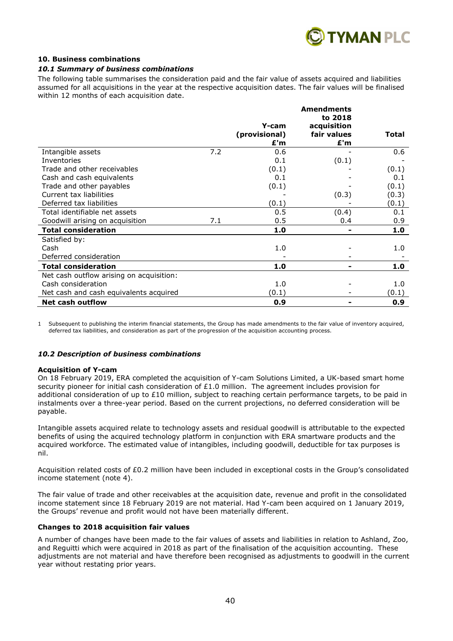

#### **10. Business combinations**

#### *10.1 Summary of business combinations*

The following table summarises the consideration paid and the fair value of assets acquired and liabilities assumed for all acquisitions in the year at the respective acquisition dates. The fair values will be finalised within 12 months of each acquisition date.

|                                          |     |               | <b>Amendments</b> |       |
|------------------------------------------|-----|---------------|-------------------|-------|
|                                          |     |               | to 2018           |       |
|                                          |     | Y-cam         | acquisition       |       |
|                                          |     | (provisional) | fair values       | Total |
|                                          |     | £'m           | £'m               |       |
| Intangible assets                        | 7.2 | 0.6           |                   | 0.6   |
| Inventories                              |     | 0.1           | (0.1)             |       |
| Trade and other receivables              |     | (0.1)         |                   | (0.1) |
| Cash and cash equivalents                |     | 0.1           |                   | 0.1   |
| Trade and other payables                 |     | (0.1)         |                   | (0.1) |
| Current tax liabilities                  |     |               | (0.3)             | (0.3) |
| Deferred tax liabilities                 |     | (0.1)         |                   | (0.1) |
| Total identifiable net assets            |     | 0.5           | (0.4)             | 0.1   |
| Goodwill arising on acquisition          | 7.1 | 0.5           | 0.4               | 0.9   |
| <b>Total consideration</b>               |     | 1.0           |                   | 1.0   |
| Satisfied by:                            |     |               |                   |       |
| Cash                                     |     | 1.0           |                   | 1.0   |
| Deferred consideration                   |     |               |                   |       |
| <b>Total consideration</b>               |     | 1.0           |                   | 1.0   |
| Net cash outflow arising on acquisition: |     |               |                   |       |
| Cash consideration                       |     | 1.0           |                   | 1.0   |
| Net cash and cash equivalents acquired   |     | (0.1)         |                   | (0.1) |
| <b>Net cash outflow</b>                  |     | 0.9           |                   | 0.9   |

1 Subsequent to publishing the interim financial statements, the Group has made amendments to the fair value of inventory acquired, deferred tax liabilities, and consideration as part of the progression of the acquisition accounting process.

#### *10.2 Description of business combinations*

#### **Acquisition of Y-cam**

On 18 February 2019, ERA completed the acquisition of Y-cam Solutions Limited, a UK-based smart home security pioneer for initial cash consideration of £1.0 million. The agreement includes provision for additional consideration of up to £10 million, subject to reaching certain performance targets, to be paid in instalments over a three-year period. Based on the current projections, no deferred consideration will be payable.

Intangible assets acquired relate to technology assets and residual goodwill is attributable to the expected benefits of using the acquired technology platform in conjunction with ERA smartware products and the acquired workforce. The estimated value of intangibles, including goodwill, deductible for tax purposes is nil.

Acquisition related costs of £0.2 million have been included in exceptional costs in the Group's consolidated income statement (note 4).

The fair value of trade and other receivables at the acquisition date, revenue and profit in the consolidated income statement since 18 February 2019 are not material. Had Y-cam been acquired on 1 January 2019, the Groups' revenue and profit would not have been materially different.

#### **Changes to 2018 acquisition fair values**

A number of changes have been made to the fair values of assets and liabilities in relation to Ashland, Zoo, and Reguitti which were acquired in 2018 as part of the finalisation of the acquisition accounting. These adjustments are not material and have therefore been recognised as adjustments to goodwill in the current year without restating prior years.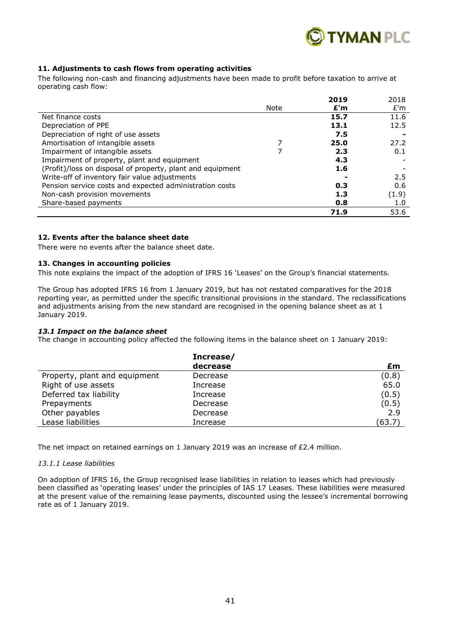

#### **11. Adjustments to cash flows from operating activities**

The following non-cash and financing adjustments have been made to profit before taxation to arrive at operating cash flow:

|                                                            |      | 2019 | 2018  |
|------------------------------------------------------------|------|------|-------|
|                                                            | Note | £'m  | E'm   |
| Net finance costs                                          |      | 15.7 | 11.6  |
| Depreciation of PPE                                        |      | 13.1 | 12.5  |
| Depreciation of right of use assets                        |      | 7.5  |       |
| Amortisation of intangible assets                          |      | 25.0 | 27.2  |
| Impairment of intangible assets                            |      | 2.3  | 0.1   |
| Impairment of property, plant and equipment                |      | 4.3  |       |
| (Profit)/loss on disposal of property, plant and equipment |      | 1.6  |       |
| Write-off of inventory fair value adjustments              |      |      | 2.5   |
| Pension service costs and expected administration costs    |      | 0.3  | 0.6   |
| Non-cash provision movements                               |      | 1.3  | (1.9) |
| Share-based payments                                       |      | 0.8  | 1.0   |
|                                                            |      | 71.9 | 53.6  |

### **12. Events after the balance sheet date**

There were no events after the balance sheet date.

#### **13. Changes in accounting policies**

This note explains the impact of the adoption of IFRS 16 'Leases' on the Group's financial statements.

The Group has adopted IFRS 16 from 1 January 2019, but has not restated comparatives for the 2018 reporting year, as permitted under the specific transitional provisions in the standard. The reclassifications and adjustments arising from the new standard are recognised in the opening balance sheet as at 1 January 2019.

#### *13.1 Impact on the balance sheet*

The change in accounting policy affected the following items in the balance sheet on 1 January 2019:

|                               | Increase/ |        |
|-------------------------------|-----------|--------|
|                               | decrease  | £m     |
| Property, plant and equipment | Decrease  | (0.8)  |
| Right of use assets           | Increase  | 65.0   |
| Deferred tax liability        | Increase  | (0.5)  |
| Prepayments                   | Decrease  | (0.5)  |
| Other payables                | Decrease  | 2.9    |
| Lease liabilities             | Increase  | (63.7) |

The net impact on retained earnings on 1 January 2019 was an increase of  $E2.4$  million.

#### *13.1.1 Lease liabilities*

On adoption of IFRS 16, the Group recognised lease liabilities in relation to leases which had previously been classified as 'operating leases' under the principles of IAS 17 Leases*.* These liabilities were measured at the present value of the remaining lease payments, discounted using the lessee's incremental borrowing rate as of 1 January 2019.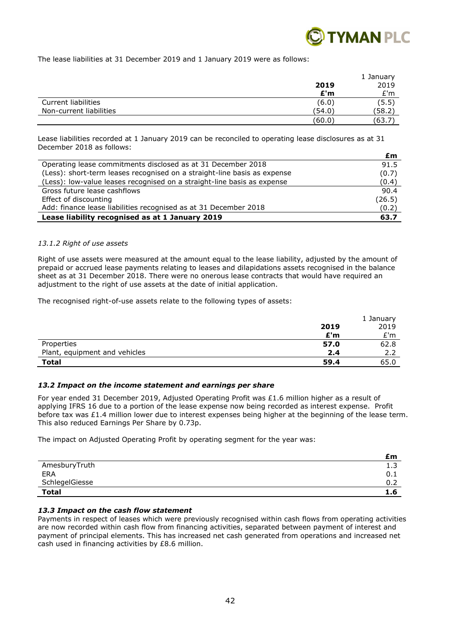

The lease liabilities at 31 December 2019 and 1 January 2019 were as follows:

|                         |        | 1 January |  |
|-------------------------|--------|-----------|--|
|                         | 2019   | 2019      |  |
|                         | £'m    | E'm       |  |
| Current liabilities     | (6.0)  | (5.5)     |  |
| Non-current liabilities | (54.0) | (58.2     |  |
|                         | (60.0) | (63.7)    |  |

Lease liabilities recorded at 1 January 2019 can be reconciled to operating lease disclosures as at 31 December 2018 as follows:

|                                                                          | £m     |
|--------------------------------------------------------------------------|--------|
| Operating lease commitments disclosed as at 31 December 2018             | 91.5   |
| (Less): short-term leases recognised on a straight-line basis as expense | (0.7)  |
| (Less): low-value leases recognised on a straight-line basis as expense  | (0.4)  |
| Gross future lease cashflows                                             | 90.4   |
| Effect of discounting                                                    | (26.5) |
| Add: finance lease liabilities recognised as at 31 December 2018         | (0.2)  |
| Lease liability recognised as at 1 January 2019                          | 63.7   |

#### *13.1.2 Right of use assets*

Right of use assets were measured at the amount equal to the lease liability, adjusted by the amount of prepaid or accrued lease payments relating to leases and dilapidations assets recognised in the balance sheet as at 31 December 2018. There were no onerous lease contracts that would have required an adjustment to the right of use assets at the date of initial application.

The recognised right-of-use assets relate to the following types of assets:

|                               |      | 1 January |
|-------------------------------|------|-----------|
|                               | 2019 | 2019      |
|                               | E'm  | E'm       |
| Properties                    | 57.0 | 62.8      |
| Plant, equipment and vehicles | 2.4  | 2.2       |
| Total                         | 59.4 | 65.0      |

#### *13.2 Impact on the income statement and earnings per share*

For year ended 31 December 2019, Adjusted Operating Profit was £1.6 million higher as a result of applying IFRS 16 due to a portion of the lease expense now being recorded as interest expense. Profit before tax was £1.4 million lower due to interest expenses being higher at the beginning of the lease term. This also reduced Earnings Per Share by 0.73p.

The impact on Adjusted Operating Profit by operating segment for the year was:

|                | £m   |
|----------------|------|
| AmesburyTruth  | 3. 1 |
| ERA            | 0.1  |
| SchlegelGiesse | 0.2  |
| <b>Total</b>   | 1.6  |

#### *13.3 Impact on the cash flow statement*

Payments in respect of leases which were previously recognised within cash flows from operating activities are now recorded within cash flow from financing activities, separated between payment of interest and payment of principal elements. This has increased net cash generated from operations and increased net cash used in financing activities by £8.6 million.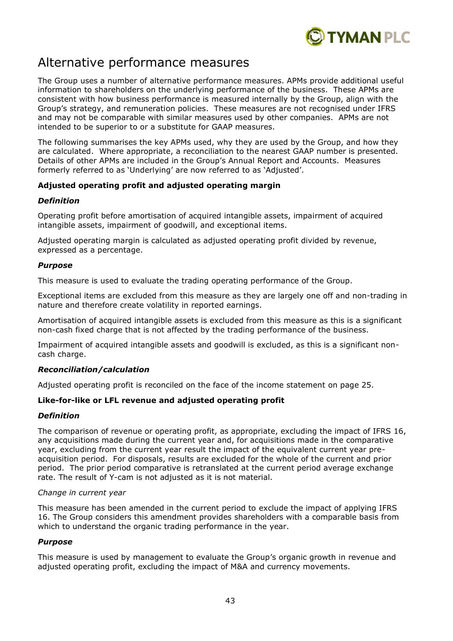

# Alternative performance measures

The Group uses a number of alternative performance measures. APMs provide additional useful information to shareholders on the underlying performance of the business. These APMs are consistent with how business performance is measured internally by the Group, align with the Group's strategy, and remuneration policies. These measures are not recognised under IFRS and may not be comparable with similar measures used by other companies. APMs are not intended to be superior to or a substitute for GAAP measures.

The following summarises the key APMs used, why they are used by the Group, and how they are calculated. Where appropriate, a reconciliation to the nearest GAAP number is presented. Details of other APMs are included in the Group's Annual Report and Accounts. Measures formerly referred to as 'Underlying' are now referred to as 'Adjusted'.

# **Adjusted operating profit and adjusted operating margin**

### *Definition*

Operating profit before amortisation of acquired intangible assets, impairment of acquired intangible assets, impairment of goodwill, and exceptional items.

Adjusted operating margin is calculated as adjusted operating profit divided by revenue, expressed as a percentage.

#### *Purpose*

This measure is used to evaluate the trading operating performance of the Group.

Exceptional items are excluded from this measure as they are largely one off and non-trading in nature and therefore create volatility in reported earnings.

Amortisation of acquired intangible assets is excluded from this measure as this is a significant non-cash fixed charge that is not affected by the trading performance of the business.

Impairment of acquired intangible assets and goodwill is excluded, as this is a significant noncash charge.

### *Reconciliation/calculation*

Adjusted operating profit is reconciled on the face of the income statement on page 25.

### **Like-for-like or LFL revenue and adjusted operating profit**

### *Definition*

The comparison of revenue or operating profit, as appropriate, excluding the impact of IFRS 16, any acquisitions made during the current year and, for acquisitions made in the comparative year, excluding from the current year result the impact of the equivalent current year preacquisition period. For disposals, results are excluded for the whole of the current and prior period. The prior period comparative is retranslated at the current period average exchange rate. The result of Y-cam is not adjusted as it is not material.

#### *Change in current year*

This measure has been amended in the current period to exclude the impact of applying IFRS 16. The Group considers this amendment provides shareholders with a comparable basis from which to understand the organic trading performance in the year.

### *Purpose*

This measure is used by management to evaluate the Group's organic growth in revenue and adjusted operating profit, excluding the impact of M&A and currency movements.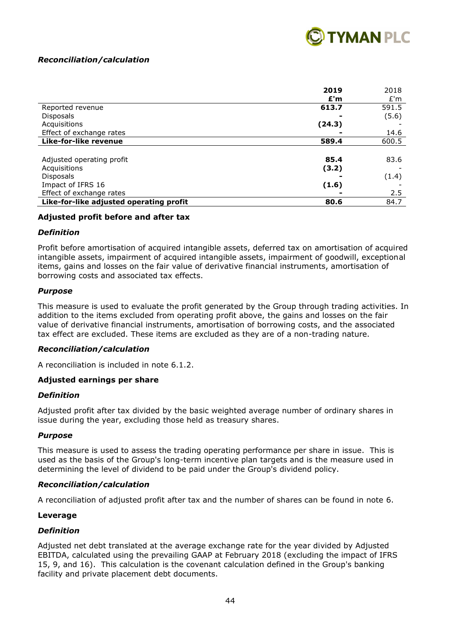

# *Reconciliation/calculation*

|                                         | 2019   | 2018  |
|-----------------------------------------|--------|-------|
|                                         | E'm    | E'm   |
| Reported revenue                        | 613.7  | 591.5 |
| <b>Disposals</b>                        |        | (5.6) |
| Acquisitions                            | (24.3) |       |
| Effect of exchange rates                |        | 14.6  |
| Like-for-like revenue                   | 589.4  | 600.5 |
|                                         |        |       |
| Adjusted operating profit               | 85.4   | 83.6  |
| Acquisitions                            | (3.2)  |       |
| <b>Disposals</b>                        |        | (1.4) |
| Impact of IFRS 16                       | (1.6)  |       |
| Effect of exchange rates                |        | 2.5   |
| Like-for-like adjusted operating profit | 80.6   | 84.7  |

# **Adjusted profit before and after tax**

# *Definition*

Profit before amortisation of acquired intangible assets, deferred tax on amortisation of acquired intangible assets, impairment of acquired intangible assets, impairment of goodwill, exceptional items, gains and losses on the fair value of derivative financial instruments, amortisation of borrowing costs and associated tax effects.

### *Purpose*

This measure is used to evaluate the profit generated by the Group through trading activities. In addition to the items excluded from operating profit above, the gains and losses on the fair value of derivative financial instruments, amortisation of borrowing costs, and the associated tax effect are excluded. These items are excluded as they are of a non-trading nature.

### *Reconciliation/calculation*

A reconciliation is included in note 6.1.2.

### **Adjusted earnings per share**

### *Definition*

Adjusted profit after tax divided by the basic weighted average number of ordinary shares in issue during the year, excluding those held as treasury shares.

### *Purpose*

This measure is used to assess the trading operating performance per share in issue. This is used as the basis of the Group's long-term incentive plan targets and is the measure used in determining the level of dividend to be paid under the Group's dividend policy.

### *Reconciliation/calculation*

A reconciliation of adjusted profit after tax and the number of shares can be found in note 6.

### **Leverage**

# *Definition*

Adjusted net debt translated at the average exchange rate for the year divided by Adjusted EBITDA, calculated using the prevailing GAAP at February 2018 (excluding the impact of IFRS 15, 9, and 16). This calculation is the covenant calculation defined in the Group's banking facility and private placement debt documents.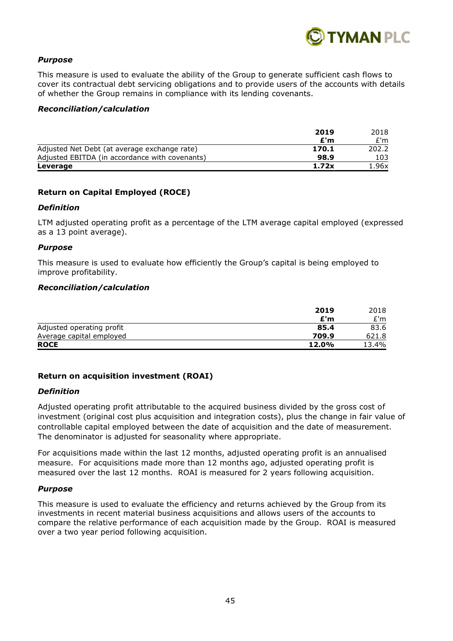

# *Purpose*

This measure is used to evaluate the ability of the Group to generate sufficient cash flows to cover its contractual debt servicing obligations and to provide users of the accounts with details of whether the Group remains in compliance with its lending covenants.

#### *Reconciliation/calculation*

|                                                | 2019  | 2018  |
|------------------------------------------------|-------|-------|
|                                                | E'm   | £'m   |
| Adjusted Net Debt (at average exchange rate)   | 170.1 | 202.2 |
| Adjusted EBITDA (in accordance with covenants) | 98.9  | 103   |
| Leverage                                       | 1.72x | 1.96x |

# **Return on Capital Employed (ROCE)**

#### *Definition*

LTM adjusted operating profit as a percentage of the LTM average capital employed (expressed as a 13 point average).

#### *Purpose*

This measure is used to evaluate how efficiently the Group's capital is being employed to improve profitability.

#### *Reconciliation/calculation*

|                           | 2019  | 2018  |
|---------------------------|-------|-------|
|                           | £'m   | £'m   |
| Adjusted operating profit | 85.4  | 83.6  |
| Average capital employed  | 709.9 | 621.8 |
| <b>ROCE</b>               | 12.0% | 13.4% |

### **Return on acquisition investment (ROAI)**

### *Definition*

Adjusted operating profit attributable to the acquired business divided by the gross cost of investment (original cost plus acquisition and integration costs), plus the change in fair value of controllable capital employed between the date of acquisition and the date of measurement. The denominator is adjusted for seasonality where appropriate.

For acquisitions made within the last 12 months, adjusted operating profit is an annualised measure. For acquisitions made more than 12 months ago, adjusted operating profit is measured over the last 12 months. ROAI is measured for 2 years following acquisition.

### *Purpose*

This measure is used to evaluate the efficiency and returns achieved by the Group from its investments in recent material business acquisitions and allows users of the accounts to compare the relative performance of each acquisition made by the Group. ROAI is measured over a two year period following acquisition.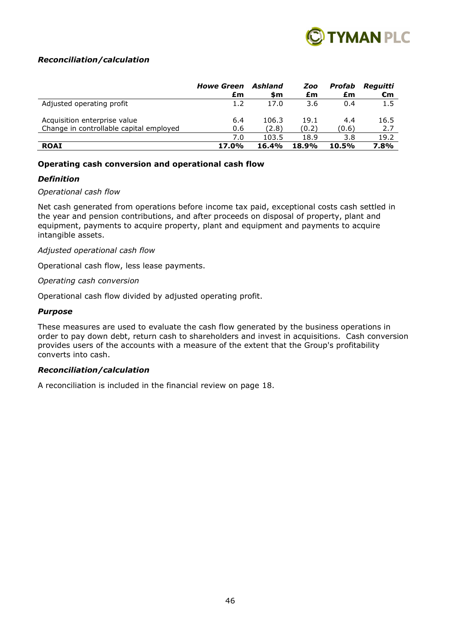

# *Reconciliation/calculation*

|                                         | <b>Howe Green</b> | Ashland | Zoo   | Profab | Reguitti |
|-----------------------------------------|-------------------|---------|-------|--------|----------|
|                                         | £m                | \$m     | £m    | £m     | €m       |
| Adjusted operating profit               | 1.2               | 17.0    | 3.6   | 0.4    | 1.5      |
| Acquisition enterprise value            | 6.4               | 106.3   | 19.1  | 4.4    | 16.5     |
| Change in controllable capital employed | 0.6               | (2.8)   | (0.2) | (0.6)  | 2.7      |
|                                         | 7.0               | 103.5   | 18.9  | 3.8    | 19.2     |
| <b>ROAI</b>                             | 17.0%             | 16.4%   | 18.9% | 10.5%  | 7.8%     |

### **Operating cash conversion and operational cash flow**

### *Definition*

### *Operational cash flow*

Net cash generated from operations before income tax paid, exceptional costs cash settled in the year and pension contributions, and after proceeds on disposal of property, plant and equipment, payments to acquire property, plant and equipment and payments to acquire intangible assets.

### *Adjusted operational cash flow*

Operational cash flow, less lease payments.

#### *Operating cash conversion*

Operational cash flow divided by adjusted operating profit.

#### *Purpose*

These measures are used to evaluate the cash flow generated by the business operations in order to pay down debt, return cash to shareholders and invest in acquisitions. Cash conversion provides users of the accounts with a measure of the extent that the Group's profitability converts into cash.

### *Reconciliation/calculation*

A reconciliation is included in the financial review on page 18.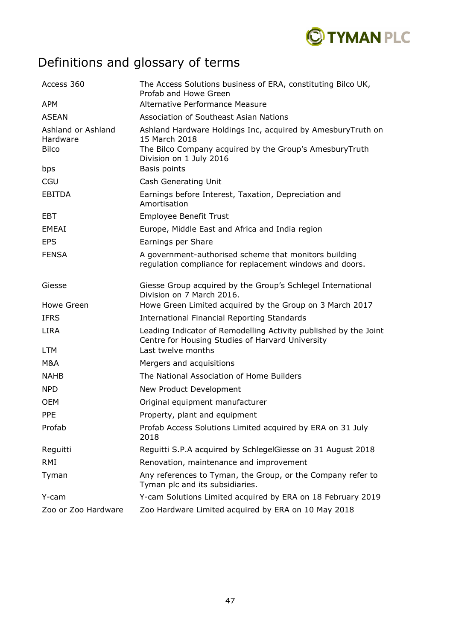

# Definitions and glossary of terms

| Access 360                                     | The Access Solutions business of ERA, constituting Bilco UK,<br>Profab and Howe Green                                                   |
|------------------------------------------------|-----------------------------------------------------------------------------------------------------------------------------------------|
| <b>APM</b>                                     | Alternative Performance Measure                                                                                                         |
| <b>ASEAN</b>                                   | Association of Southeast Asian Nations                                                                                                  |
| Ashland or Ashland<br>Hardware<br><b>Bilco</b> | Ashland Hardware Holdings Inc, acquired by AmesburyTruth on<br>15 March 2018<br>The Bilco Company acquired by the Group's AmesburyTruth |
| bps                                            | Division on 1 July 2016<br>Basis points                                                                                                 |
| CGU                                            | Cash Generating Unit                                                                                                                    |
| <b>EBITDA</b>                                  | Earnings before Interest, Taxation, Depreciation and<br>Amortisation                                                                    |
| EBT                                            | <b>Employee Benefit Trust</b>                                                                                                           |
| <b>EMEAI</b>                                   | Europe, Middle East and Africa and India region                                                                                         |
| <b>EPS</b>                                     | Earnings per Share                                                                                                                      |
| <b>FENSA</b>                                   | A government-authorised scheme that monitors building<br>regulation compliance for replacement windows and doors.                       |
| Giesse                                         | Giesse Group acquired by the Group's Schlegel International<br>Division on 7 March 2016.                                                |
| Howe Green                                     | Howe Green Limited acquired by the Group on 3 March 2017                                                                                |
| <b>IFRS</b>                                    | <b>International Financial Reporting Standards</b>                                                                                      |
| <b>LIRA</b>                                    | Leading Indicator of Remodelling Activity published by the Joint<br>Centre for Housing Studies of Harvard University                    |
| <b>LTM</b>                                     | Last twelve months                                                                                                                      |
| M&A                                            | Mergers and acquisitions                                                                                                                |
| <b>NAHB</b>                                    | The National Association of Home Builders                                                                                               |
| <b>NPD</b>                                     | New Product Development                                                                                                                 |
| <b>OEM</b>                                     | Original equipment manufacturer                                                                                                         |
| <b>PPE</b>                                     | Property, plant and equipment                                                                                                           |
| Profab                                         | Profab Access Solutions Limited acquired by ERA on 31 July<br>2018                                                                      |
| Reguitti                                       | Reguitti S.P.A acquired by SchlegelGiesse on 31 August 2018                                                                             |
| <b>RMI</b>                                     | Renovation, maintenance and improvement                                                                                                 |
| Tyman                                          | Any references to Tyman, the Group, or the Company refer to<br>Tyman plc and its subsidiaries.                                          |
| Y-cam                                          | Y-cam Solutions Limited acquired by ERA on 18 February 2019                                                                             |
| Zoo or Zoo Hardware                            | Zoo Hardware Limited acquired by ERA on 10 May 2018                                                                                     |